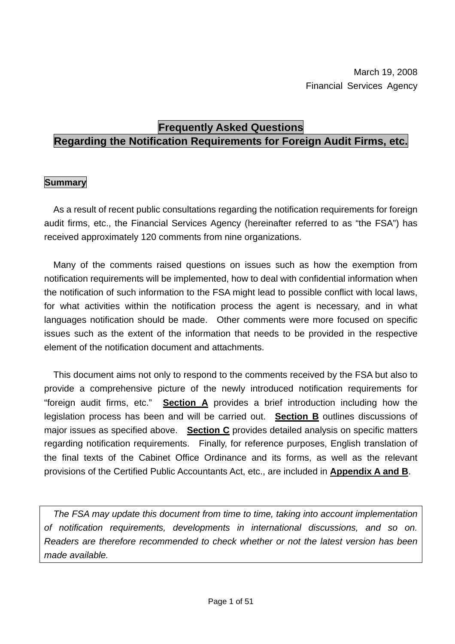# **Frequently Asked Questions**

# **Regarding the Notification Requirements for Foreign Audit Firms, etc.**

## **Summary**

 As a result of recent public consultations regarding the notification requirements for foreign audit firms, etc., the Financial Services Agency (hereinafter referred to as "the FSA") has received approximately 120 comments from nine organizations.

 Many of the comments raised questions on issues such as how the exemption from notification requirements will be implemented, how to deal with confidential information when the notification of such information to the FSA might lead to possible conflict with local laws, for what activities within the notification process the agent is necessary, and in what languages notification should be made. Other comments were more focused on specific issues such as the extent of the information that needs to be provided in the respective element of the notification document and attachments.

 This document aims not only to respond to the comments received by the FSA but also to provide a comprehensive picture of the newly introduced notification requirements for "foreign audit firms, etc." **Section A** provides a brief introduction including how the legislation process has been and will be carried out. **Section B** outlines discussions of major issues as specified above. **Section C** provides detailed analysis on specific matters regarding notification requirements. Finally, for reference purposes, English translation of the final texts of the Cabinet Office Ordinance and its forms, as well as the relevant provisions of the Certified Public Accountants Act, etc., are included in **Appendix A and B**.

*The FSA may update this document from time to time, taking into account implementation of notification requirements, developments in international discussions, and so on. Readers are therefore recommended to check whether or not the latest version has been made available.*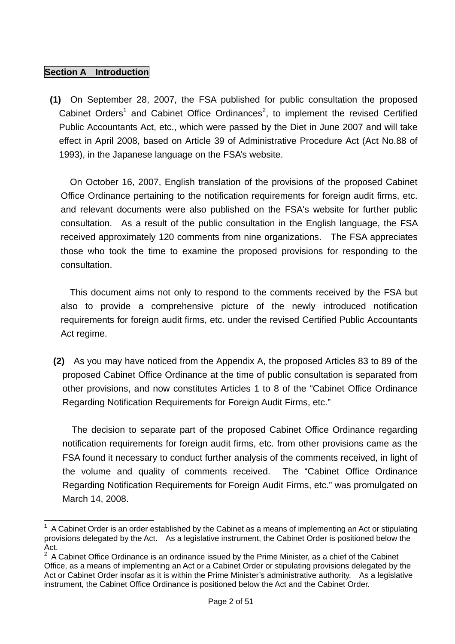#### **Section A** Introduction

**(1)** On September 28, 2007, the FSA published for public consultation the proposed Cabinet Orders<sup>1</sup> and Cabinet Office Ordinances<sup>2</sup>, to implement the revised Certified Public Accountants Act, etc., which were passed by the Diet in June 2007 and will take effect in April 2008, based on Article 39 of Administrative Procedure Act (Act No.88 of 1993), in the Japanese language on the FSA's website.

On October 16, 2007, English translation of the provisions of the proposed Cabinet Office Ordinance pertaining to the notification requirements for foreign audit firms, etc. and relevant documents were also published on the FSA's website for further public consultation. As a result of the public consultation in the English language, the FSA received approximately 120 comments from nine organizations. The FSA appreciates those who took the time to examine the proposed provisions for responding to the consultation.

This document aims not only to respond to the comments received by the FSA but also to provide a comprehensive picture of the newly introduced notification requirements for foreign audit firms, etc. under the revised Certified Public Accountants Act regime.

**(2)** As you may have noticed from the Appendix A, the proposed Articles 83 to 89 of the proposed Cabinet Office Ordinance at the time of public consultation is separated from other provisions, and now constitutes Articles 1 to 8 of the "Cabinet Office Ordinance Regarding Notification Requirements for Foreign Audit Firms, etc."

The decision to separate part of the proposed Cabinet Office Ordinance regarding notification requirements for foreign audit firms, etc. from other provisions came as the FSA found it necessary to conduct further analysis of the comments received, in light of the volume and quality of comments received. The "Cabinet Office Ordinance Regarding Notification Requirements for Foreign Audit Firms, etc." was promulgated on March 14, 2008.

 $\overline{a}$  $1$  A Cabinet Order is an order established by the Cabinet as a means of implementing an Act or stipulating provisions delegated by the Act. As a legislative instrument, the Cabinet Order is positioned below the Act.

<sup>2</sup> A Cabinet Office Ordinance is an ordinance issued by the Prime Minister, as a chief of the Cabinet Office, as a means of implementing an Act or a Cabinet Order or stipulating provisions delegated by the Act or Cabinet Order insofar as it is within the Prime Minister's administrative authority. As a legislative instrument, the Cabinet Office Ordinance is positioned below the Act and the Cabinet Order.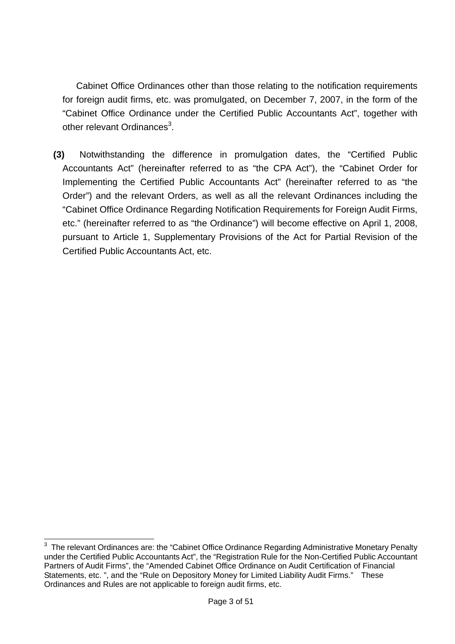Cabinet Office Ordinances other than those relating to the notification requirements for foreign audit firms, etc. was promulgated, on December 7, 2007, in the form of the "Cabinet Office Ordinance under the Certified Public Accountants Act", together with other relevant Ordinances<sup>3</sup>.

**(3)** Notwithstanding the difference in promulgation dates, the "Certified Public Accountants Act" (hereinafter referred to as "the CPA Act"), the "Cabinet Order for Implementing the Certified Public Accountants Act" (hereinafter referred to as "the Order") and the relevant Orders, as well as all the relevant Ordinances including the "Cabinet Office Ordinance Regarding Notification Requirements for Foreign Audit Firms, etc." (hereinafter referred to as "the Ordinance") will become effective on April 1, 2008, pursuant to Article 1, Supplementary Provisions of the Act for Partial Revision of the Certified Public Accountants Act, etc.

 $\overline{a}$ 

 $3$  The relevant Ordinances are: the "Cabinet Office Ordinance Regarding Administrative Monetary Penalty under the Certified Public Accountants Act", the "Registration Rule for the Non-Certified Public Accountant Partners of Audit Firms", the "Amended Cabinet Office Ordinance on Audit Certification of Financial Statements, etc. ", and the "Rule on Depository Money for Limited Liability Audit Firms." These Ordinances and Rules are not applicable to foreign audit firms, etc.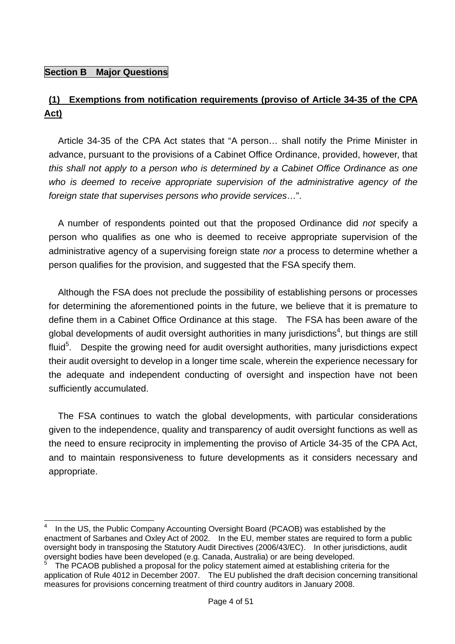#### **Section B Major Questions**

# **(1) Exemptions from notification requirements (proviso of Article 34-35 of the CPA Act)**

 Article 34-35 of the CPA Act states that "A person… shall notify the Prime Minister in advance, pursuant to the provisions of a Cabinet Office Ordinance, provided, however, that *this shall not apply to a person who is determined by a Cabinet Office Ordinance as one*  who is deemed to receive appropriate supervision of the administrative agency of the *foreign state that supervises persons who provide services*…".

A number of respondents pointed out that the proposed Ordinance did *not* specify a person who qualifies as one who is deemed to receive appropriate supervision of the administrative agency of a supervising foreign state *nor* a process to determine whether a person qualifies for the provision, and suggested that the FSA specify them.

Although the FSA does not preclude the possibility of establishing persons or processes for determining the aforementioned points in the future, we believe that it is premature to define them in a Cabinet Office Ordinance at this stage. The FSA has been aware of the global developments of audit oversight authorities in many jurisdictions<sup>4</sup>, but things are still fluid<sup>5</sup>. Despite the growing need for audit oversight authorities, many jurisdictions expect their audit oversight to develop in a longer time scale, wherein the experience necessary for the adequate and independent conducting of oversight and inspection have not been sufficiently accumulated.

The FSA continues to watch the global developments, with particular considerations given to the independence, quality and transparency of audit oversight functions as well as the need to ensure reciprocity in implementing the proviso of Article 34-35 of the CPA Act, and to maintain responsiveness to future developments as it considers necessary and appropriate.

 $\frac{1}{4}$ In the US, the Public Company Accounting Oversight Board (PCAOB) was established by the enactment of Sarbanes and Oxley Act of 2002. In the EU, member states are required to form a public oversight body in transposing the Statutory Audit Directives (2006/43/EC). In other jurisdictions, audit oversight bodies have been developed (e.g. Canada, Australia) or are being developed. 5

The PCAOB published a proposal for the policy statement aimed at establishing criteria for the application of Rule 4012 in December 2007. The EU published the draft decision concerning transitional measures for provisions concerning treatment of third country auditors in January 2008.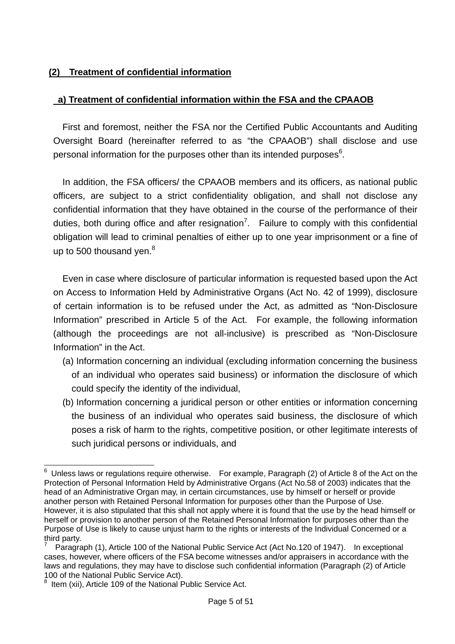#### **(2) Treatment of confidential information**

#### **a) Treatment of confidential information within the FSA and the CPAAOB**

First and foremost, neither the FSA nor the Certified Public Accountants and Auditing Oversight Board (hereinafter referred to as "the CPAAOB") shall disclose and use personal information for the purposes other than its intended purposes<sup>6</sup>.

In addition, the FSA officers/ the CPAAOB members and its officers, as national public officers, are subject to a strict confidentiality obligation, and shall not disclose any confidential information that they have obtained in the course of the performance of their duties, both during office and after resignation<sup>7</sup>. Failure to comply with this confidential obligation will lead to criminal penalties of either up to one year imprisonment or a fine of up to 500 thousand yen. $8<sup>8</sup>$ 

Even in case where disclosure of particular information is requested based upon the Act on Access to Information Held by Administrative Organs (Act No. 42 of 1999), disclosure of certain information is to be refused under the Act, as admitted as "Non-Disclosure Information" prescribed in Article 5 of the Act. For example, the following information (although the proceedings are not all-inclusive) is prescribed as "Non-Disclosure Information" in the Act.

- (a) Information concerning an individual (excluding information concerning the business of an individual who operates said business) or information the disclosure of which could specify the identity of the individual,
- (b) Information concerning a juridical person or other entities or information concerning the business of an individual who operates said business, the disclosure of which poses a risk of harm to the rights, competitive position, or other legitimate interests of such juridical persons or individuals, and

<sup>————————————————————&</sup>lt;br><sup>6</sup> Unless laws or regulations require otherwise. For example, Paragraph (2) of Article 8 of the Act on the Protection of Personal Information Held by Administrative Organs (Act No.58 of 2003) indicates that the head of an Administrative Organ may, in certain circumstances, use by himself or herself or provide another person with Retained Personal Information for purposes other than the Purpose of Use. However, it is also stipulated that this shall not apply where it is found that the use by the head himself or herself or provision to another person of the Retained Personal Information for purposes other than the Purpose of Use is likely to cause unjust harm to the rights or interests of the Individual Concerned or a third party.

<sup>7</sup> Paragraph (1), Article 100 of the National Public Service Act (Act No.120 of 1947). In exceptional cases, however, where officers of the FSA become witnesses and/or appraisers in accordance with the laws and regulations, they may have to disclose such confidential information (Paragraph (2) of Article 100 of the National Public Service Act).

<sup>&</sup>lt;sup>8</sup> Item (xii), Article 109 of the National Public Service Act.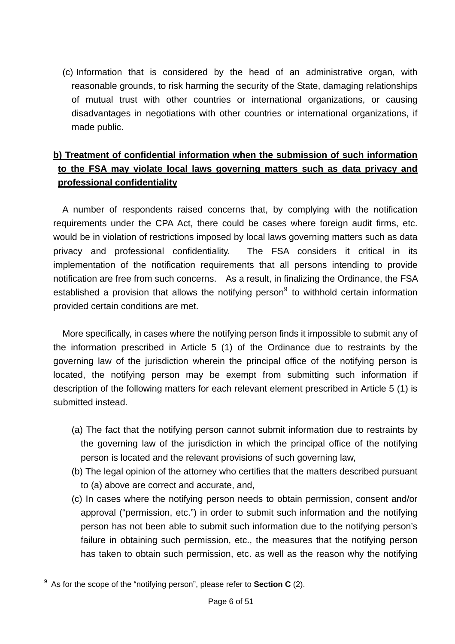(c) Information that is considered by the head of an administrative organ, with reasonable grounds, to risk harming the security of the State, damaging relationships of mutual trust with other countries or international organizations, or causing disadvantages in negotiations with other countries or international organizations, if made public.

# **b) Treatment of confidential information when the submission of such information to the FSA may violate local laws governing matters such as data privacy and professional confidentiality**

A number of respondents raised concerns that, by complying with the notification requirements under the CPA Act, there could be cases where foreign audit firms, etc. would be in violation of restrictions imposed by local laws governing matters such as data privacy and professional confidentiality. The FSA considers it critical in its implementation of the notification requirements that all persons intending to provide notification are free from such concerns. As a result, in finalizing the Ordinance, the FSA established a provision that allows the notifying person $9$  to withhold certain information provided certain conditions are met.

More specifically, in cases where the notifying person finds it impossible to submit any of the information prescribed in Article 5 (1) of the Ordinance due to restraints by the governing law of the jurisdiction wherein the principal office of the notifying person is located, the notifying person may be exempt from submitting such information if description of the following matters for each relevant element prescribed in Article 5 (1) is submitted instead.

- (a) The fact that the notifying person cannot submit information due to restraints by the governing law of the jurisdiction in which the principal office of the notifying person is located and the relevant provisions of such governing law,
- (b) The legal opinion of the attorney who certifies that the matters described pursuant to (a) above are correct and accurate, and,
- (c) In cases where the notifying person needs to obtain permission, consent and/or approval ("permission, etc.") in order to submit such information and the notifying person has not been able to submit such information due to the notifying person's failure in obtaining such permission, etc., the measures that the notifying person has taken to obtain such permission, etc. as well as the reason why the notifying

 9 As for the scope of the "notifying person", please refer to **Section C** (2).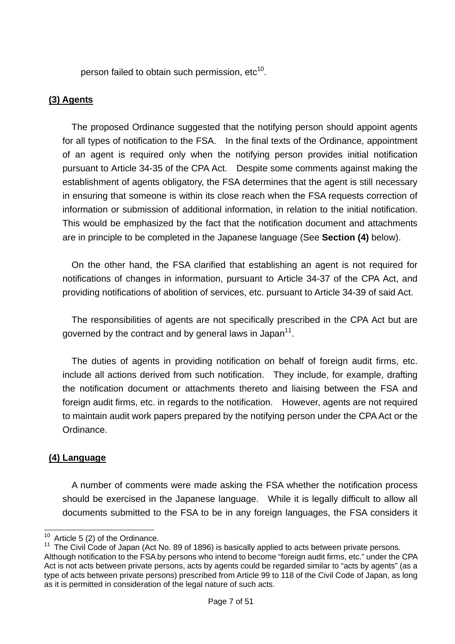person failed to obtain such permission,  $etc<sup>10</sup>$ .

#### **(3) Agents**

The proposed Ordinance suggested that the notifying person should appoint agents for all types of notification to the FSA. In the final texts of the Ordinance, appointment of an agent is required only when the notifying person provides initial notification pursuant to Article 34-35 of the CPA Act. Despite some comments against making the establishment of agents obligatory, the FSA determines that the agent is still necessary in ensuring that someone is within its close reach when the FSA requests correction of information or submission of additional information, in relation to the initial notification. This would be emphasized by the fact that the notification document and attachments are in principle to be completed in the Japanese language (See **Section (4)** below).

On the other hand, the FSA clarified that establishing an agent is not required for notifications of changes in information, pursuant to Article 34-37 of the CPA Act, and providing notifications of abolition of services, etc. pursuant to Article 34-39 of said Act.

The responsibilities of agents are not specifically prescribed in the CPA Act but are governed by the contract and by general laws in Japan $11$ .

The duties of agents in providing notification on behalf of foreign audit firms, etc. include all actions derived from such notification. They include, for example, drafting the notification document or attachments thereto and liaising between the FSA and foreign audit firms, etc. in regards to the notification. However, agents are not required to maintain audit work papers prepared by the notifying person under the CPA Act or the Ordinance.

#### **(4) Language**

A number of comments were made asking the FSA whether the notification process should be exercised in the Japanese language. While it is legally difficult to allow all documents submitted to the FSA to be in any foreign languages, the FSA considers it

 $10$  Article 5 (2) of the Ordinance.

 $11$  The Civil Code of Japan (Act No. 89 of 1896) is basically applied to acts between private persons. Although notification to the FSA by persons who intend to become "foreign audit firms, etc." under the CPA Act is not acts between private persons, acts by agents could be regarded similar to "acts by agents" (as a type of acts between private persons) prescribed from Article 99 to 118 of the Civil Code of Japan, as long as it is permitted in consideration of the legal nature of such acts.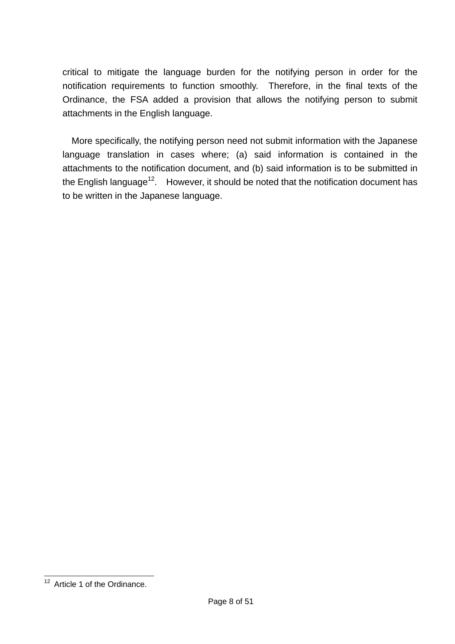critical to mitigate the language burden for the notifying person in order for the notification requirements to function smoothly. Therefore, in the final texts of the Ordinance, the FSA added a provision that allows the notifying person to submit attachments in the English language.

More specifically, the notifying person need not submit information with the Japanese language translation in cases where; (a) said information is contained in the attachments to the notification document, and (b) said information is to be submitted in the English language<sup>12</sup>. However, it should be noted that the notification document has to be written in the Japanese language.

 $\overline{a}$ 

 $12$  Article 1 of the Ordinance.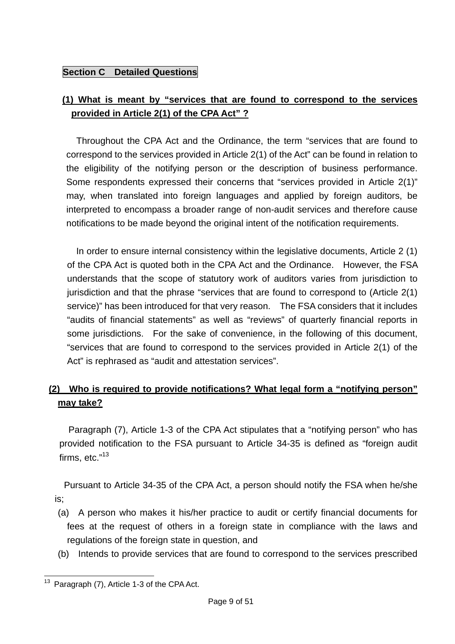## **Section C** Detailed Questions

## **(1) What is meant by "services that are found to correspond to the services provided in Article 2(1) of the CPA Act" ?**

 Throughout the CPA Act and the Ordinance, the term "services that are found to correspond to the services provided in Article 2(1) of the Act" can be found in relation to the eligibility of the notifying person or the description of business performance. Some respondents expressed their concerns that "services provided in Article 2(1)" may, when translated into foreign languages and applied by foreign auditors, be interpreted to encompass a broader range of non-audit services and therefore cause notifications to be made beyond the original intent of the notification requirements.

 In order to ensure internal consistency within the legislative documents, Article 2 (1) of the CPA Act is quoted both in the CPA Act and the Ordinance. However, the FSA understands that the scope of statutory work of auditors varies from jurisdiction to jurisdiction and that the phrase "services that are found to correspond to (Article 2(1) service)" has been introduced for that very reason. The FSA considers that it includes "audits of financial statements" as well as "reviews" of quarterly financial reports in some jurisdictions. For the sake of convenience, in the following of this document, "services that are found to correspond to the services provided in Article 2(1) of the Act" is rephrased as "audit and attestation services".

## **(2) Who is required to provide notifications? What legal form a "notifying person" may take?**

Paragraph (7), Article 1-3 of the CPA Act stipulates that a "notifying person" who has provided notification to the FSA pursuant to Article 34-35 is defined as "foreign audit firms, etc."<sup>13</sup>

Pursuant to Article 34-35 of the CPA Act, a person should notify the FSA when he/she is;

- (a) A person who makes it his/her practice to audit or certify financial documents for fees at the request of others in a foreign state in compliance with the laws and regulations of the foreign state in question, and
- (b) Intends to provide services that are found to correspond to the services prescribed

 $\overline{a}$  $13$  Paragraph (7), Article 1-3 of the CPA Act.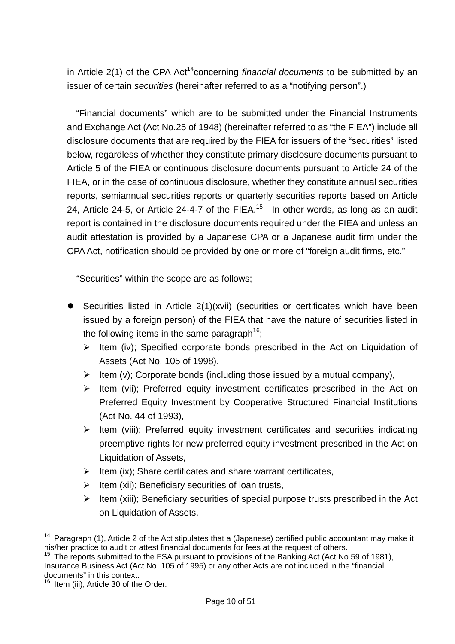in Article 2(1) of the CPA Act<sup>14</sup>concerning *financial documents* to be submitted by an issuer of certain *securities* (hereinafter referred to as a "notifying person".)

"Financial documents" which are to be submitted under the Financial Instruments and Exchange Act (Act No.25 of 1948) (hereinafter referred to as "the FIEA") include all disclosure documents that are required by the FIEA for issuers of the "securities" listed below, regardless of whether they constitute primary disclosure documents pursuant to Article 5 of the FIEA or continuous disclosure documents pursuant to Article 24 of the FIEA, or in the case of continuous disclosure, whether they constitute annual securities reports, semiannual securities reports or quarterly securities reports based on Article 24, Article 24-5, or Article 24-4-7 of the FIEA.<sup>15</sup> In other words, as long as an audit report is contained in the disclosure documents required under the FIEA and unless an audit attestation is provided by a Japanese CPA or a Japanese audit firm under the CPA Act, notification should be provided by one or more of "foreign audit firms, etc."

"Securities" within the scope are as follows;

- $\bullet$  Securities listed in Article 2(1)(xvii) (securities or certificates which have been issued by a foreign person) of the FIEA that have the nature of securities listed in the following items in the same paragraph<sup>16</sup>;
	- $\triangleright$  Item (iv): Specified corporate bonds prescribed in the Act on Liquidation of Assets (Act No. 105 of 1998),
	- $\triangleright$  Item (v): Corporate bonds (including those issued by a mutual company),
	- $\triangleright$  Item (vii); Preferred equity investment certificates prescribed in the Act on Preferred Equity Investment by Cooperative Structured Financial Institutions (Act No. 44 of 1993),
	- $\triangleright$  Item (viii); Preferred equity investment certificates and securities indicating preemptive rights for new preferred equity investment prescribed in the Act on Liquidation of Assets,
	- $\triangleright$  Item (ix); Share certificates and share warrant certificates,
	- $\triangleright$  Item (xii): Beneficiary securities of loan trusts,
	- $\triangleright$  Item (xiii); Beneficiary securities of special purpose trusts prescribed in the Act on Liquidation of Assets,

 $\overline{a}$ <sup>14</sup> Paragraph (1), Article 2 of the Act stipulates that a (Japanese) certified public accountant may make it his/her practice to audit or attest financial documents for fees at the request of others.

<sup>&</sup>lt;sup>15</sup> The reports submitted to the FSA pursuant to provisions of the Banking Act (Act No.59 of 1981), Insurance Business Act (Act No. 105 of 1995) or any other Acts are not included in the "financial documents" in this context.

<sup>&</sup>lt;sup>16</sup> Item (iii), Article 30 of the Order.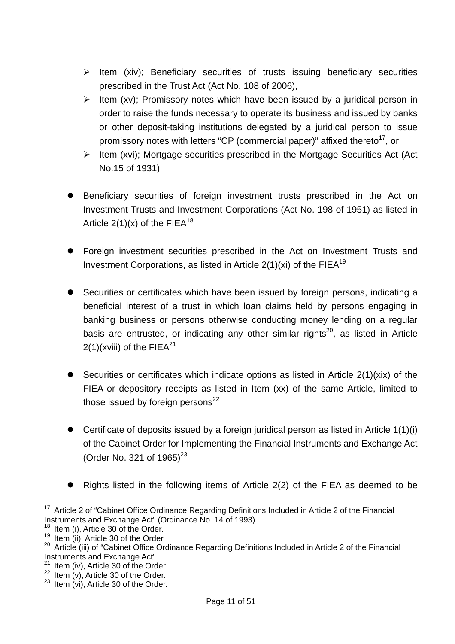- $\triangleright$  Item (xiv); Beneficiary securities of trusts issuing beneficiary securities prescribed in the Trust Act (Act No. 108 of 2006),
- $\triangleright$  Item (xv); Promissory notes which have been issued by a juridical person in order to raise the funds necessary to operate its business and issued by banks or other deposit-taking institutions delegated by a juridical person to issue promissory notes with letters "CP (commercial paper)" affixed thereto<sup>17</sup>, or
- $\triangleright$  Item (xvi); Mortgage securities prescribed in the Mortgage Securities Act (Act No.15 of 1931)
- Beneficiary securities of foreign investment trusts prescribed in the Act on Investment Trusts and Investment Corporations (Act No. 198 of 1951) as listed in Article  $2(1)(x)$  of the FIEA<sup>18</sup>
- Foreign investment securities prescribed in the Act on Investment Trusts and Investment Corporations, as listed in Article  $2(1)(xi)$  of the FIEA<sup>19</sup>
- Securities or certificates which have been issued by foreign persons, indicating a beneficial interest of a trust in which loan claims held by persons engaging in banking business or persons otherwise conducting money lending on a regular basis are entrusted, or indicating any other similar rights<sup>20</sup>, as listed in Article  $2(1)$ (xviii) of the FIEA<sup>21</sup>
- $\bullet$  Securities or certificates which indicate options as listed in Article 2(1)(xix) of the FIEA or depository receipts as listed in Item (xx) of the same Article, limited to those issued by foreign persons $^{22}$
- $\bullet$  Certificate of deposits issued by a foreign juridical person as listed in Article 1(1)(i) of the Cabinet Order for Implementing the Financial Instruments and Exchange Act (Order No. 321 of  $1965^{23}$
- Rights listed in the following items of Article 2(2) of the FIEA as deemed to be

 $\overline{a}$  $17$  Article 2 of "Cabinet Office Ordinance Regarding Definitions Included in Article 2 of the Financial Instruments and Exchange Act" (Ordinance No. 14 of 1993)<br><sup>18</sup> Item (i), Article 30 of the Order.

<sup>&</sup>lt;sup>19</sup> Item (ii), Article 30 of the Order.<br><sup>20</sup> Article (iii) of "Cabinet Office Ordinance Regarding Definitions Included in Article 2 of the Financial Instruments and Exchange Act"<br><sup>21</sup> Item (iv), Article 30 of the Order.

<sup>&</sup>lt;sup>22</sup> Item (v), Article 30 of the Order.<br><sup>23</sup> Item (vi), Article 30 of the Order.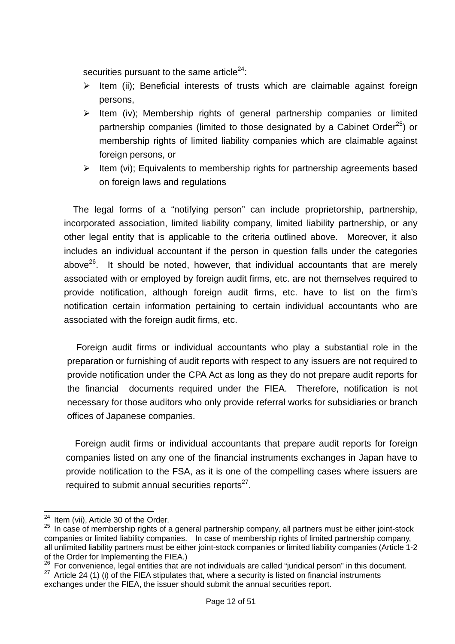securities pursuant to the same article $24$ :

- $\triangleright$  Item (ii); Beneficial interests of trusts which are claimable against foreign persons,
- $\triangleright$  Item (iv); Membership rights of general partnership companies or limited partnership companies (limited to those designated by a Cabinet Order<sup>25</sup>) or membership rights of limited liability companies which are claimable against foreign persons, or
- $\triangleright$  Item (vi); Equivalents to membership rights for partnership agreements based on foreign laws and regulations

The legal forms of a "notifying person" can include proprietorship, partnership, incorporated association, limited liability company, limited liability partnership, or any other legal entity that is applicable to the criteria outlined above. Moreover, it also includes an individual accountant if the person in question falls under the categories above $26$ . It should be noted, however, that individual accountants that are merely associated with or employed by foreign audit firms, etc. are not themselves required to provide notification, although foreign audit firms, etc. have to list on the firm's notification certain information pertaining to certain individual accountants who are associated with the foreign audit firms, etc.

 Foreign audit firms or individual accountants who play a substantial role in the preparation or furnishing of audit reports with respect to any issuers are not required to provide notification under the CPA Act as long as they do not prepare audit reports for the financial documents required under the FIEA. Therefore, notification is not necessary for those auditors who only provide referral works for subsidiaries or branch offices of Japanese companies.

Foreign audit firms or individual accountants that prepare audit reports for foreign companies listed on any one of the financial instruments exchanges in Japan have to provide notification to the FSA, as it is one of the compelling cases where issuers are required to submit annual securities reports $27$ .

 $\overline{a}$  $24$  Item (vii), Article 30 of the Order.

 $25$  In case of membership rights of a general partnership company, all partners must be either joint-stock companies or limited liability companies. In case of membership rights of limited partnership company, all unlimited liability partners must be either joint-stock companies or limited liability companies (Article 1-2 of the Order for Implementing the FIEA.)<br><sup>26</sup> For convenience, legal entities that are not individuals are called "juridical person" in this document.

<sup>&</sup>lt;sup>27</sup> Article 24 (1) (i) of the FIEA stipulates that, where a security is listed on financial instruments exchanges under the FIEA, the issuer should submit the annual securities report.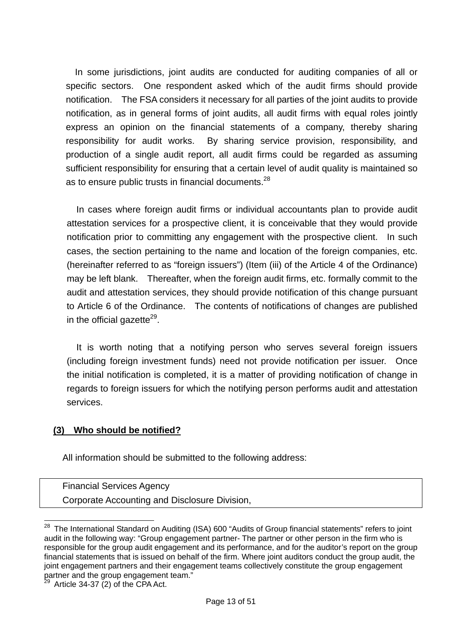In some jurisdictions, joint audits are conducted for auditing companies of all or specific sectors. One respondent asked which of the audit firms should provide notification. The FSA considers it necessary for all parties of the joint audits to provide notification, as in general forms of joint audits, all audit firms with equal roles jointly express an opinion on the financial statements of a company, thereby sharing responsibility for audit works. By sharing service provision, responsibility, and production of a single audit report, all audit firms could be regarded as assuming sufficient responsibility for ensuring that a certain level of audit quality is maintained so as to ensure public trusts in financial documents.<sup>28</sup>

In cases where foreign audit firms or individual accountants plan to provide audit attestation services for a prospective client, it is conceivable that they would provide notification prior to committing any engagement with the prospective client. In such cases, the section pertaining to the name and location of the foreign companies, etc. (hereinafter referred to as "foreign issuers") (Item (iii) of the Article 4 of the Ordinance) may be left blank. Thereafter, when the foreign audit firms, etc. formally commit to the audit and attestation services, they should provide notification of this change pursuant to Article 6 of the Ordinance. The contents of notifications of changes are published in the official gazette<sup>29</sup>.

It is worth noting that a notifying person who serves several foreign issuers (including foreign investment funds) need not provide notification per issuer. Once the initial notification is completed, it is a matter of providing notification of change in regards to foreign issuers for which the notifying person performs audit and attestation services.

#### **(3) Who should be notified?**

All information should be submitted to the following address:

Financial Services Agency Corporate Accounting and Disclosure Division,

 $\overline{a}$ <sup>28</sup> The International Standard on Auditing (ISA) 600 "Audits of Group financial statements" refers to joint audit in the following way: "Group engagement partner- The partner or other person in the firm who is responsible for the group audit engagement and its performance, and for the auditor's report on the group financial statements that is issued on behalf of the firm. Where joint auditors conduct the group audit, the joint engagement partners and their engagement teams collectively constitute the group engagement partner and the group engagement team."

Article 34-37  $(2)$  of the CPA Act.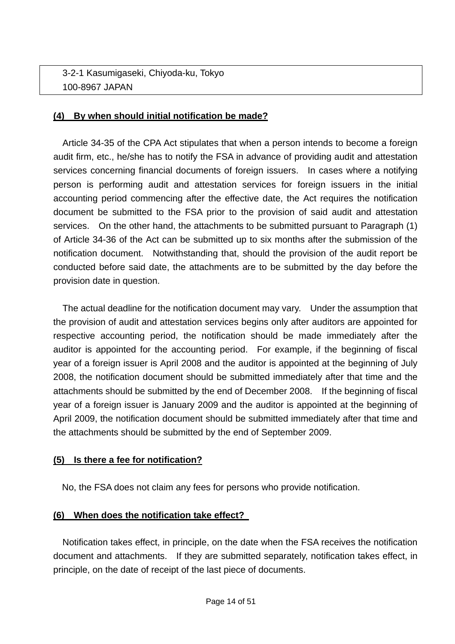## 3-2-1 Kasumigaseki, Chiyoda-ku, Tokyo 100-8967 JAPAN

#### **(4) By when should initial notification be made?**

 Article 34-35 of the CPA Act stipulates that when a person intends to become a foreign audit firm, etc., he/she has to notify the FSA in advance of providing audit and attestation services concerning financial documents of foreign issuers. In cases where a notifying person is performing audit and attestation services for foreign issuers in the initial accounting period commencing after the effective date, the Act requires the notification document be submitted to the FSA prior to the provision of said audit and attestation services. On the other hand, the attachments to be submitted pursuant to Paragraph (1) of Article 34-36 of the Act can be submitted up to six months after the submission of the notification document. Notwithstanding that, should the provision of the audit report be conducted before said date, the attachments are to be submitted by the day before the provision date in question.

The actual deadline for the notification document may vary. Under the assumption that the provision of audit and attestation services begins only after auditors are appointed for respective accounting period, the notification should be made immediately after the auditor is appointed for the accounting period. For example, if the beginning of fiscal year of a foreign issuer is April 2008 and the auditor is appointed at the beginning of July 2008, the notification document should be submitted immediately after that time and the attachments should be submitted by the end of December 2008. If the beginning of fiscal year of a foreign issuer is January 2009 and the auditor is appointed at the beginning of April 2009, the notification document should be submitted immediately after that time and the attachments should be submitted by the end of September 2009.

#### **(5) Is there a fee for notification?**

No, the FSA does not claim any fees for persons who provide notification.

#### **(6) When does the notification take effect?**

 Notification takes effect, in principle, on the date when the FSA receives the notification document and attachments. If they are submitted separately, notification takes effect, in principle, on the date of receipt of the last piece of documents.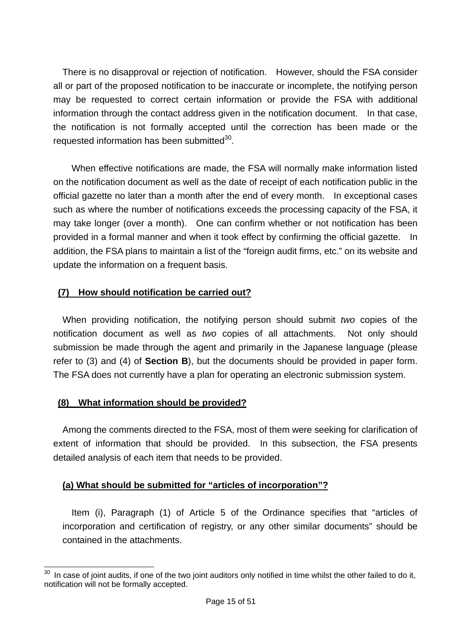There is no disapproval or rejection of notification. However, should the FSA consider all or part of the proposed notification to be inaccurate or incomplete, the notifying person may be requested to correct certain information or provide the FSA with additional information through the contact address given in the notification document. In that case, the notification is not formally accepted until the correction has been made or the requested information has been submitted<sup>30</sup>.

 When effective notifications are made, the FSA will normally make information listed on the notification document as well as the date of receipt of each notification public in the official gazette no later than a month after the end of every month. In exceptional cases such as where the number of notifications exceeds the processing capacity of the FSA, it may take longer (over a month). One can confirm whether or not notification has been provided in a formal manner and when it took effect by confirming the official gazette. In addition, the FSA plans to maintain a list of the "foreign audit firms, etc." on its website and update the information on a frequent basis.

## **(7) How should notification be carried out?**

When providing notification, the notifying person should submit *two* copies of the notification document as well as *two* copies of all attachments. Not only should submission be made through the agent and primarily in the Japanese language (please refer to (3) and (4) of **Section B**), but the documents should be provided in paper form. The FSA does not currently have a plan for operating an electronic submission system.

#### **(8) What information should be provided?**

Among the comments directed to the FSA, most of them were seeking for clarification of extent of information that should be provided. In this subsection, the FSA presents detailed analysis of each item that needs to be provided.

#### **(a) What should be submitted for "articles of incorporation"?**

 Item (i), Paragraph (1) of Article 5 of the Ordinance specifies that "articles of incorporation and certification of registry, or any other similar documents" should be contained in the attachments.

 $\overline{a}$  $30$  In case of joint audits, if one of the two joint auditors only notified in time whilst the other failed to do it, notification will not be formally accepted.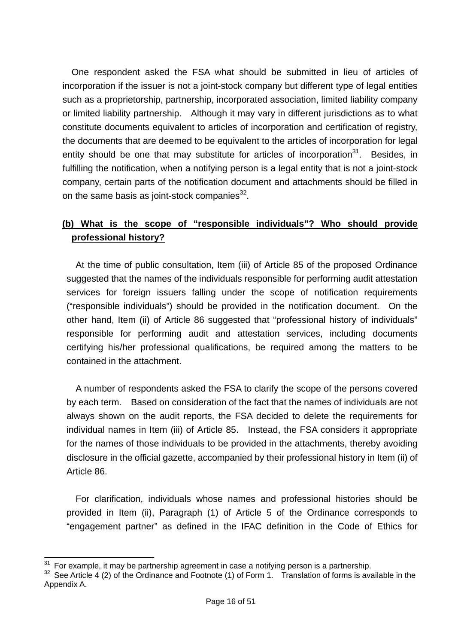One respondent asked the FSA what should be submitted in lieu of articles of incorporation if the issuer is not a joint-stock company but different type of legal entities such as a proprietorship, partnership, incorporated association, limited liability company or limited liability partnership. Although it may vary in different jurisdictions as to what constitute documents equivalent to articles of incorporation and certification of registry, the documents that are deemed to be equivalent to the articles of incorporation for legal entity should be one that may substitute for articles of incorporation $31$ . Besides, in fulfilling the notification, when a notifying person is a legal entity that is not a joint-stock company, certain parts of the notification document and attachments should be filled in on the same basis as joint-stock companies $32$ .

## **(b) What is the scope of "responsible individuals"? Who should provide professional history?**

At the time of public consultation, Item (iii) of Article 85 of the proposed Ordinance suggested that the names of the individuals responsible for performing audit attestation services for foreign issuers falling under the scope of notification requirements ("responsible individuals") should be provided in the notification document. On the other hand, Item (ii) of Article 86 suggested that "professional history of individuals" responsible for performing audit and attestation services, including documents certifying his/her professional qualifications, be required among the matters to be contained in the attachment.

A number of respondents asked the FSA to clarify the scope of the persons covered by each term. Based on consideration of the fact that the names of individuals are not always shown on the audit reports, the FSA decided to delete the requirements for individual names in Item (iii) of Article 85. Instead, the FSA considers it appropriate for the names of those individuals to be provided in the attachments, thereby avoiding disclosure in the official gazette, accompanied by their professional history in Item (ii) of Article 86.

For clarification, individuals whose names and professional histories should be provided in Item (ii), Paragraph (1) of Article 5 of the Ordinance corresponds to "engagement partner" as defined in the IFAC definition in the Code of Ethics for

 $\overline{a}$ 

<sup>&</sup>lt;sup>31</sup> For example, it may be partnership agreement in case a notifying person is a partnership.<br><sup>32</sup> See Article 4 (2) of the Ordinance and Footnote (1) of Form 1. Translation of forms is available in the Appendix A.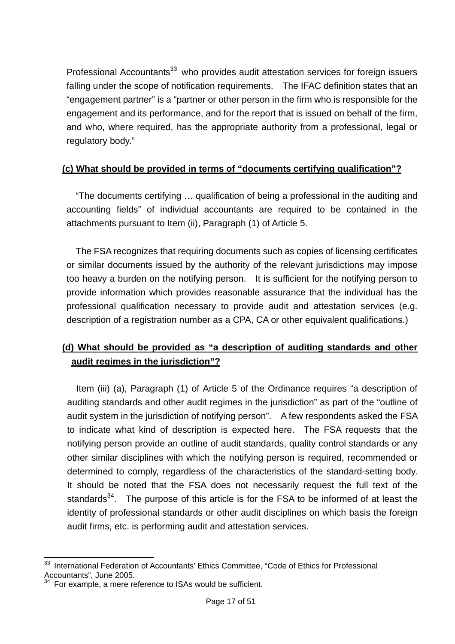Professional Accountants<sup>33</sup> who provides audit attestation services for foreign issuers falling under the scope of notification requirements. The IFAC definition states that an "engagement partner" is a "partner or other person in the firm who is responsible for the engagement and its performance, and for the report that is issued on behalf of the firm, and who, where required, has the appropriate authority from a professional, legal or regulatory body."

#### **(c) What should be provided in terms of "documents certifying qualification"?**

"The documents certifying … qualification of being a professional in the auditing and accounting fields" of individual accountants are required to be contained in the attachments pursuant to Item (ii), Paragraph (1) of Article 5.

The FSA recognizes that requiring documents such as copies of licensing certificates or similar documents issued by the authority of the relevant jurisdictions may impose too heavy a burden on the notifying person. It is sufficient for the notifying person to provide information which provides reasonable assurance that the individual has the professional qualification necessary to provide audit and attestation services (e.g. description of a registration number as a CPA, CA or other equivalent qualifications.)

## **(d) What should be provided as "a description of auditing standards and other audit regimes in the jurisdiction"?**

 Item (iii) (a), Paragraph (1) of Article 5 of the Ordinance requires "a description of auditing standards and other audit regimes in the jurisdiction" as part of the "outline of audit system in the jurisdiction of notifying person". A few respondents asked the FSA to indicate what kind of description is expected here. The FSA requests that the notifying person provide an outline of audit standards, quality control standards or any other similar disciplines with which the notifying person is required, recommended or determined to comply, regardless of the characteristics of the standard-setting body. It should be noted that the FSA does not necessarily request the full text of the standards $34$ . The purpose of this article is for the FSA to be informed of at least the identity of professional standards or other audit disciplines on which basis the foreign audit firms, etc. is performing audit and attestation services.

 $\overline{a}$ International Federation of Accountants' Ethics Committee, "Code of Ethics for Professional Accountants", June 2005.

<sup>&</sup>lt;sup>34</sup> For example, a mere reference to ISAs would be sufficient.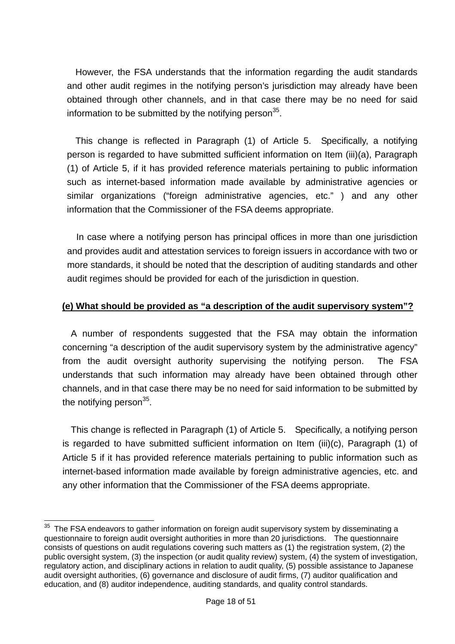However, the FSA understands that the information regarding the audit standards and other audit regimes in the notifying person's jurisdiction may already have been obtained through other channels, and in that case there may be no need for said information to be submitted by the notifying person $35$ .

This change is reflected in Paragraph (1) of Article 5. Specifically, a notifying person is regarded to have submitted sufficient information on Item (iii)(a), Paragraph (1) of Article 5, if it has provided reference materials pertaining to public information such as internet-based information made available by administrative agencies or similar organizations ("foreign administrative agencies, etc." ) and any other information that the Commissioner of the FSA deems appropriate.

 In case where a notifying person has principal offices in more than one jurisdiction and provides audit and attestation services to foreign issuers in accordance with two or more standards, it should be noted that the description of auditing standards and other audit regimes should be provided for each of the jurisdiction in question.

#### **(e) What should be provided as "a description of the audit supervisory system"?**

A number of respondents suggested that the FSA may obtain the information concerning "a description of the audit supervisory system by the administrative agency" from the audit oversight authority supervising the notifying person. The FSA understands that such information may already have been obtained through other channels, and in that case there may be no need for said information to be submitted by the notifying person $35$ .

This change is reflected in Paragraph (1) of Article 5. Specifically, a notifying person is regarded to have submitted sufficient information on Item (iii)(c), Paragraph (1) of Article 5 if it has provided reference materials pertaining to public information such as internet-based information made available by foreign administrative agencies, etc. and any other information that the Commissioner of the FSA deems appropriate.

 $\overline{a}$  $35$  The FSA endeavors to gather information on foreign audit supervisory system by disseminating a questionnaire to foreign audit oversight authorities in more than 20 jurisdictions. The questionnaire consists of questions on audit regulations covering such matters as (1) the registration system, (2) the public oversight system, (3) the inspection (or audit quality review) system, (4) the system of investigation, regulatory action, and disciplinary actions in relation to audit quality, (5) possible assistance to Japanese audit oversight authorities, (6) governance and disclosure of audit firms, (7) auditor qualification and education, and (8) auditor independence, auditing standards, and quality control standards.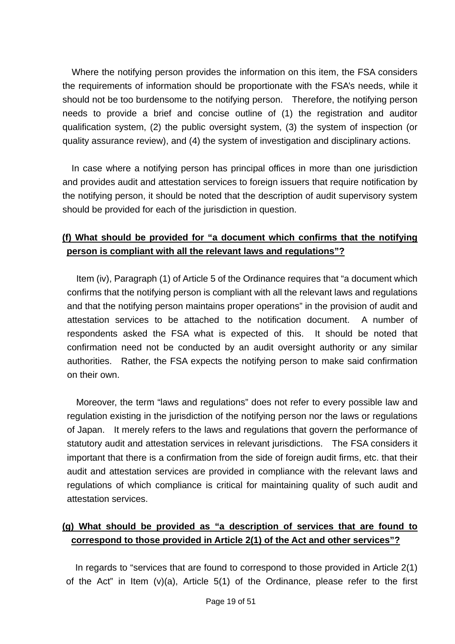Where the notifying person provides the information on this item, the FSA considers the requirements of information should be proportionate with the FSA's needs, while it should not be too burdensome to the notifying person. Therefore, the notifying person needs to provide a brief and concise outline of (1) the registration and auditor qualification system, (2) the public oversight system, (3) the system of inspection (or quality assurance review), and (4) the system of investigation and disciplinary actions.

In case where a notifying person has principal offices in more than one jurisdiction and provides audit and attestation services to foreign issuers that require notification by the notifying person, it should be noted that the description of audit supervisory system should be provided for each of the jurisdiction in question.

## **(f) What should be provided for "a document which confirms that the notifying person is compliant with all the relevant laws and regulations"?**

 Item (iv), Paragraph (1) of Article 5 of the Ordinance requires that "a document which confirms that the notifying person is compliant with all the relevant laws and regulations and that the notifying person maintains proper operations" in the provision of audit and attestation services to be attached to the notification document. A number of respondents asked the FSA what is expected of this. It should be noted that confirmation need not be conducted by an audit oversight authority or any similar authorities. Rather, the FSA expects the notifying person to make said confirmation on their own.

 Moreover, the term "laws and regulations" does not refer to every possible law and regulation existing in the jurisdiction of the notifying person nor the laws or regulations of Japan. It merely refers to the laws and regulations that govern the performance of statutory audit and attestation services in relevant jurisdictions. The FSA considers it important that there is a confirmation from the side of foreign audit firms, etc. that their audit and attestation services are provided in compliance with the relevant laws and regulations of which compliance is critical for maintaining quality of such audit and attestation services.

## **(g) What should be provided as "a description of services that are found to correspond to those provided in Article 2(1) of the Act and other services"?**

In regards to "services that are found to correspond to those provided in Article 2(1) of the Act" in Item (v)(a), Article 5(1) of the Ordinance, please refer to the first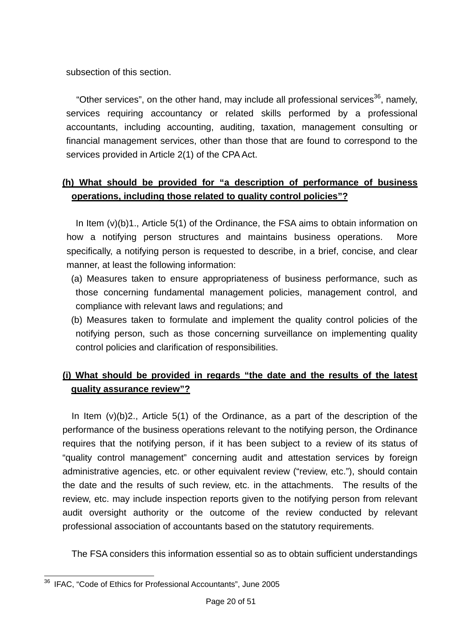subsection of this section.

"Other services", on the other hand, may include all professional services<sup>36</sup>, namely, services requiring accountancy or related skills performed by a professional accountants, including accounting, auditing, taxation, management consulting or financial management services, other than those that are found to correspond to the services provided in Article 2(1) of the CPA Act.

# **(h) What should be provided for "a description of performance of business operations, including those related to quality control policies"?**

In Item (v)(b)1., Article 5(1) of the Ordinance, the FSA aims to obtain information on how a notifying person structures and maintains business operations. More specifically, a notifying person is requested to describe, in a brief, concise, and clear manner, at least the following information:

- (a) Measures taken to ensure appropriateness of business performance, such as those concerning fundamental management policies, management control, and compliance with relevant laws and regulations; and
- (b) Measures taken to formulate and implement the quality control policies of the notifying person, such as those concerning surveillance on implementing quality control policies and clarification of responsibilities.

# **(i) What should be provided in regards "the date and the results of the latest quality assurance review"?**

In Item (v)(b)2., Article 5(1) of the Ordinance, as a part of the description of the performance of the business operations relevant to the notifying person, the Ordinance requires that the notifying person, if it has been subject to a review of its status of "quality control management" concerning audit and attestation services by foreign administrative agencies, etc. or other equivalent review ("review, etc."), should contain the date and the results of such review, etc. in the attachments. The results of the review, etc. may include inspection reports given to the notifying person from relevant audit oversight authority or the outcome of the review conducted by relevant professional association of accountants based on the statutory requirements.

The FSA considers this information essential so as to obtain sufficient understandings

 $\overline{a}$ <sup>36</sup> IFAC, "Code of Ethics for Professional Accountants", June 2005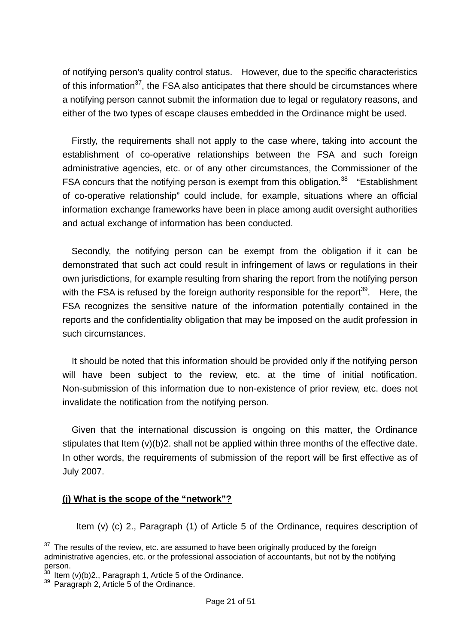of notifying person's quality control status. However, due to the specific characteristics of this information $37$ , the FSA also anticipates that there should be circumstances where a notifying person cannot submit the information due to legal or regulatory reasons, and either of the two types of escape clauses embedded in the Ordinance might be used.

Firstly, the requirements shall not apply to the case where, taking into account the establishment of co-operative relationships between the FSA and such foreign administrative agencies, etc. or of any other circumstances, the Commissioner of the FSA concurs that the notifying person is exempt from this obligation.<sup>38</sup> "Establishment of co-operative relationship" could include, for example, situations where an official information exchange frameworks have been in place among audit oversight authorities and actual exchange of information has been conducted.

Secondly, the notifying person can be exempt from the obligation if it can be demonstrated that such act could result in infringement of laws or regulations in their own jurisdictions, for example resulting from sharing the report from the notifying person with the FSA is refused by the foreign authority responsible for the report<sup>39</sup>. Here, the FSA recognizes the sensitive nature of the information potentially contained in the reports and the confidentiality obligation that may be imposed on the audit profession in such circumstances.

 It should be noted that this information should be provided only if the notifying person will have been subject to the review, etc. at the time of initial notification. Non-submission of this information due to non-existence of prior review, etc. does not invalidate the notification from the notifying person.

 Given that the international discussion is ongoing on this matter, the Ordinance stipulates that Item (v)(b)2. shall not be applied within three months of the effective date. In other words, the requirements of submission of the report will be first effective as of July 2007.

#### **(j) What is the scope of the "network"?**

Item (v) (c) 2., Paragraph (1) of Article 5 of the Ordinance, requires description of

 $\overline{a}$ 

The results of the review, etc. are assumed to have been originally produced by the foreign administrative agencies, etc. or the professional association of accountants, but not by the notifying person.

<sup>&</sup>lt;sup>38</sup> Item (v)(b)2., Paragraph 1, Article 5 of the Ordinance.<br><sup>39</sup> Paragraph 2, Article 5 of the Ordinance.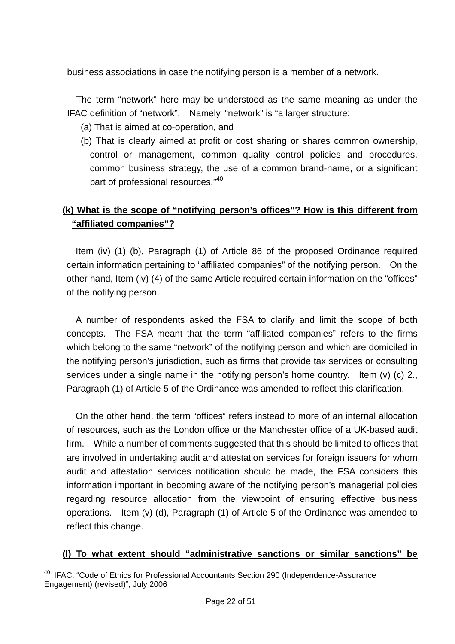business associations in case the notifying person is a member of a network.

The term "network" here may be understood as the same meaning as under the IFAC definition of "network". Namely, "network" is "a larger structure:

- (a) That is aimed at co-operation, and
- (b) That is clearly aimed at profit or cost sharing or shares common ownership, control or management, common quality control policies and procedures, common business strategy, the use of a common brand-name, or a significant part of professional resources."<sup>40</sup>

## **(k) What is the scope of "notifying person's offices"? How is this different from "affiliated companies"?**

Item (iv) (1) (b), Paragraph (1) of Article 86 of the proposed Ordinance required certain information pertaining to "affiliated companies" of the notifying person. On the other hand, Item (iv) (4) of the same Article required certain information on the "offices" of the notifying person.

 A number of respondents asked the FSA to clarify and limit the scope of both concepts. The FSA meant that the term "affiliated companies" refers to the firms which belong to the same "network" of the notifying person and which are domiciled in the notifying person's jurisdiction, such as firms that provide tax services or consulting services under a single name in the notifying person's home country. Item (y) (c) 2. Paragraph (1) of Article 5 of the Ordinance was amended to reflect this clarification.

On the other hand, the term "offices" refers instead to more of an internal allocation of resources, such as the London office or the Manchester office of a UK-based audit firm. While a number of comments suggested that this should be limited to offices that are involved in undertaking audit and attestation services for foreign issuers for whom audit and attestation services notification should be made, the FSA considers this information important in becoming aware of the notifying person's managerial policies regarding resource allocation from the viewpoint of ensuring effective business operations. Item (v) (d), Paragraph (1) of Article 5 of the Ordinance was amended to reflect this change.

## **(l) To what extent should "administrative sanctions or similar sanctions" be**

 $\overline{a}$ <sup>40</sup> IFAC, "Code of Ethics for Professional Accountants Section 290 (Independence-Assurance Engagement) (revised)", July 2006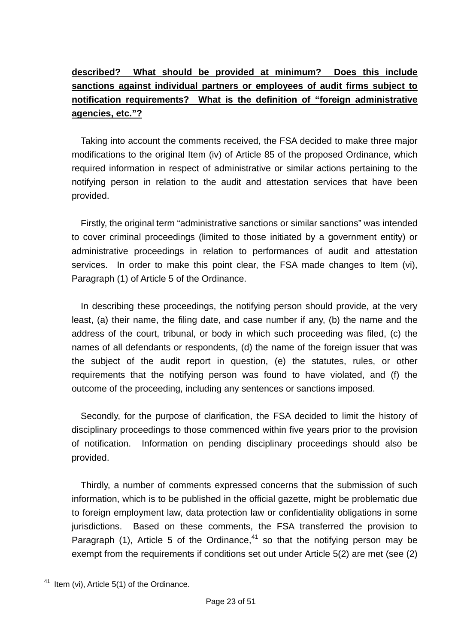# **described? What should be provided at minimum? Does this include sanctions against individual partners or employees of audit firms subject to notification requirements? What is the definition of "foreign administrative agencies, etc."?**

 Taking into account the comments received, the FSA decided to make three major modifications to the original Item (iv) of Article 85 of the proposed Ordinance, which required information in respect of administrative or similar actions pertaining to the notifying person in relation to the audit and attestation services that have been provided.

Firstly, the original term "administrative sanctions or similar sanctions" was intended to cover criminal proceedings (limited to those initiated by a government entity) or administrative proceedings in relation to performances of audit and attestation services. In order to make this point clear, the FSA made changes to Item (vi), Paragraph (1) of Article 5 of the Ordinance.

 In describing these proceedings, the notifying person should provide, at the very least, (a) their name, the filing date, and case number if any, (b) the name and the address of the court, tribunal, or body in which such proceeding was filed, (c) the names of all defendants or respondents, (d) the name of the foreign issuer that was the subject of the audit report in question, (e) the statutes, rules, or other requirements that the notifying person was found to have violated, and (f) the outcome of the proceeding, including any sentences or sanctions imposed.

Secondly, for the purpose of clarification, the FSA decided to limit the history of disciplinary proceedings to those commenced within five years prior to the provision of notification. Information on pending disciplinary proceedings should also be provided.

 Thirdly, a number of comments expressed concerns that the submission of such information, which is to be published in the official gazette, might be problematic due to foreign employment law, data protection law or confidentiality obligations in some jurisdictions. Based on these comments, the FSA transferred the provision to Paragraph (1), Article 5 of the Ordinance.<sup>41</sup> so that the notifying person may be exempt from the requirements if conditions set out under Article 5(2) are met (see (2)

 $\overline{a}$  $41$  Item (vi), Article 5(1) of the Ordinance.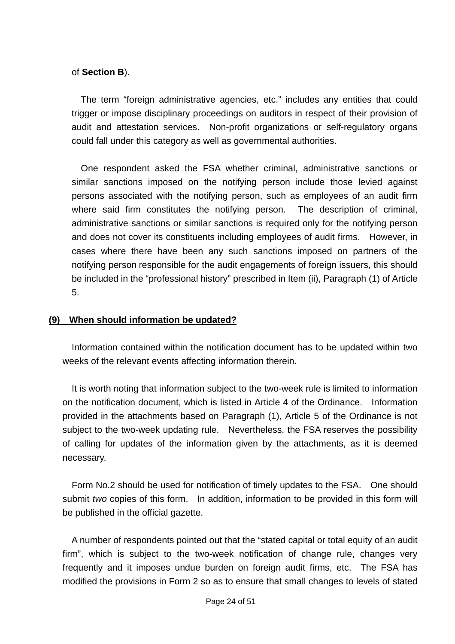#### of **Section B**).

The term "foreign administrative agencies, etc." includes any entities that could trigger or impose disciplinary proceedings on auditors in respect of their provision of audit and attestation services. Non-profit organizations or self-regulatory organs could fall under this category as well as governmental authorities.

 One respondent asked the FSA whether criminal, administrative sanctions or similar sanctions imposed on the notifying person include those levied against persons associated with the notifying person, such as employees of an audit firm where said firm constitutes the notifying person. The description of criminal, administrative sanctions or similar sanctions is required only for the notifying person and does not cover its constituents including employees of audit firms. However, in cases where there have been any such sanctions imposed on partners of the notifying person responsible for the audit engagements of foreign issuers, this should be included in the "professional history" prescribed in Item (ii), Paragraph (1) of Article 5.

#### **(9) When should information be updated?**

 Information contained within the notification document has to be updated within two weeks of the relevant events affecting information therein.

 It is worth noting that information subject to the two-week rule is limited to information on the notification document, which is listed in Article 4 of the Ordinance. Information provided in the attachments based on Paragraph (1), Article 5 of the Ordinance is not subject to the two-week updating rule. Nevertheless, the FSA reserves the possibility of calling for updates of the information given by the attachments, as it is deemed necessary.

 Form No.2 should be used for notification of timely updates to the FSA. One should submit *two* copies of this form. In addition, information to be provided in this form will be published in the official gazette.

A number of respondents pointed out that the "stated capital or total equity of an audit firm", which is subject to the two-week notification of change rule, changes very frequently and it imposes undue burden on foreign audit firms, etc. The FSA has modified the provisions in Form 2 so as to ensure that small changes to levels of stated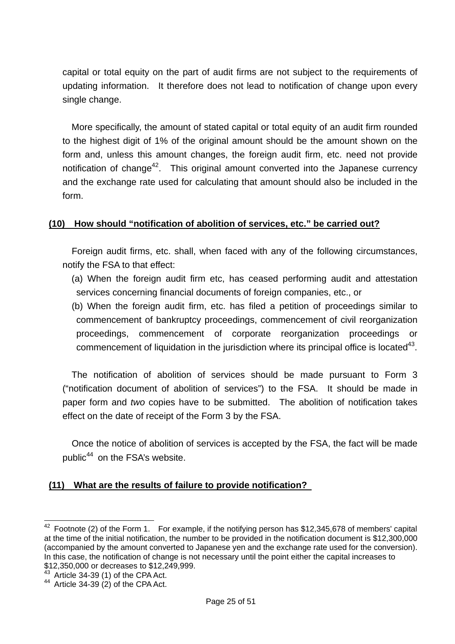capital or total equity on the part of audit firms are not subject to the requirements of updating information. It therefore does not lead to notification of change upon every single change.

More specifically, the amount of stated capital or total equity of an audit firm rounded to the highest digit of 1% of the original amount should be the amount shown on the form and, unless this amount changes, the foreign audit firm, etc. need not provide notification of change<sup>42</sup>. This original amount converted into the Japanese currency and the exchange rate used for calculating that amount should also be included in the form.

#### **(10) How should "notification of abolition of services, etc." be carried out?**

 Foreign audit firms, etc. shall, when faced with any of the following circumstances, notify the FSA to that effect:

- (a) When the foreign audit firm etc, has ceased performing audit and attestation services concerning financial documents of foreign companies, etc., or
- (b) When the foreign audit firm, etc. has filed a petition of proceedings similar to commencement of bankruptcy proceedings, commencement of civil reorganization proceedings, commencement of corporate reorganization proceedings or commencement of liquidation in the jurisdiction where its principal office is located<sup>43</sup>.

The notification of abolition of services should be made pursuant to Form 3 ("notification document of abolition of services") to the FSA. It should be made in paper form and *two* copies have to be submitted. The abolition of notification takes effect on the date of receipt of the Form 3 by the FSA.

Once the notice of abolition of services is accepted by the FSA, the fact will be made public<sup>44</sup> on the FSA's website.

#### **(11) What are the results of failure to provide notification?**

 $\overline{a}$ 

 $42$  Footnote (2) of the Form 1. For example, if the notifying person has \$12,345,678 of members' capital at the time of the initial notification, the number to be provided in the notification document is \$12,300,000 (accompanied by the amount converted to Japanese yen and the exchange rate used for the conversion). In this case, the notification of change is not necessary until the point either the capital increases to \$12,350,000 or decreases to \$12,249,999.

 $43$  Article 34-39 (1) of the CPA Act.<br> $44$  Article 34-39 (2) of the CPA Act.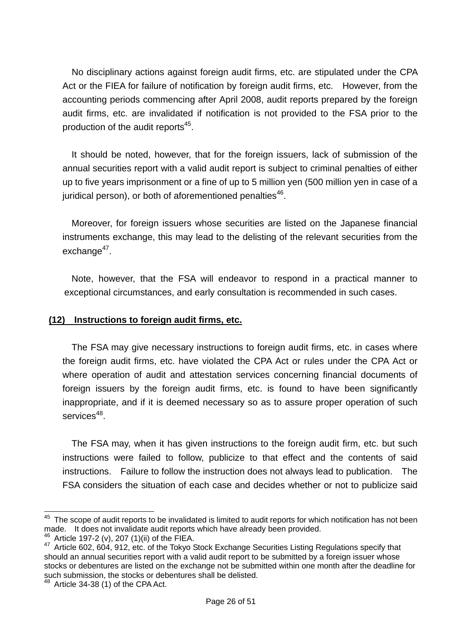No disciplinary actions against foreign audit firms, etc. are stipulated under the CPA Act or the FIEA for failure of notification by foreign audit firms, etc. However, from the accounting periods commencing after April 2008, audit reports prepared by the foreign audit firms, etc. are invalidated if notification is not provided to the FSA prior to the production of the audit reports<sup>45</sup>.

It should be noted, however, that for the foreign issuers, lack of submission of the annual securities report with a valid audit report is subject to criminal penalties of either up to five years imprisonment or a fine of up to 5 million yen (500 million yen in case of a juridical person), or both of aforementioned penalties $46$ .

Moreover, for foreign issuers whose securities are listed on the Japanese financial instruments exchange, this may lead to the delisting of the relevant securities from the  $exchance<sup>47</sup>$ .

Note, however, that the FSA will endeavor to respond in a practical manner to exceptional circumstances, and early consultation is recommended in such cases.

#### **(12) Instructions to foreign audit firms, etc.**

The FSA may give necessary instructions to foreign audit firms, etc. in cases where the foreign audit firms, etc. have violated the CPA Act or rules under the CPA Act or where operation of audit and attestation services concerning financial documents of foreign issuers by the foreign audit firms, etc. is found to have been significantly inappropriate, and if it is deemed necessary so as to assure proper operation of such services<sup>48</sup>.

The FSA may, when it has given instructions to the foreign audit firm, etc. but such instructions were failed to follow, publicize to that effect and the contents of said instructions. Failure to follow the instruction does not always lead to publication. The FSA considers the situation of each case and decides whether or not to publicize said

 $\overline{a}$ 

 $45$  The scope of audit reports to be invalidated is limited to audit reports for which notification has not been

made. It does not invalidate audit reports which have already been provided.<br><sup>46</sup> Article 197-2 (v), 207 (1)(ii) of the FIEA.<br><sup>47</sup> Article 602, 604, 912, etc. of the Tokyo Stock Exchange Securities Listing Regulations spec should an annual securities report with a valid audit report to be submitted by a foreign issuer whose stocks or debentures are listed on the exchange not be submitted within one month after the deadline for such submission, the stocks or debentures shall be delisted.

<sup>48</sup> Article 34-38 (1) of the CPA Act.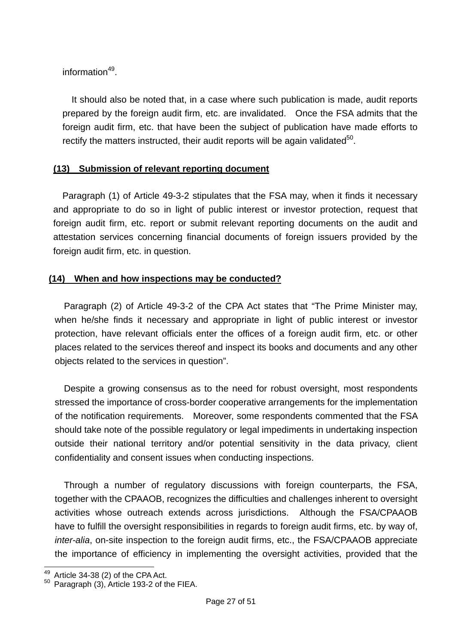information<sup>49</sup>

It should also be noted that, in a case where such publication is made, audit reports prepared by the foreign audit firm, etc. are invalidated. Once the FSA admits that the foreign audit firm, etc. that have been the subject of publication have made efforts to rectify the matters instructed, their audit reports will be again validated<sup>50</sup>.

## **(13) Submission of relevant reporting document**

Paragraph (1) of Article 49-3-2 stipulates that the FSA may, when it finds it necessary and appropriate to do so in light of public interest or investor protection, request that foreign audit firm, etc. report or submit relevant reporting documents on the audit and attestation services concerning financial documents of foreign issuers provided by the foreign audit firm, etc. in question.

## **(14) When and how inspections may be conducted?**

Paragraph (2) of Article 49-3-2 of the CPA Act states that "The Prime Minister may, when he/she finds it necessary and appropriate in light of public interest or investor protection, have relevant officials enter the offices of a foreign audit firm, etc. or other places related to the services thereof and inspect its books and documents and any other objects related to the services in question".

Despite a growing consensus as to the need for robust oversight, most respondents stressed the importance of cross-border cooperative arrangements for the implementation of the notification requirements. Moreover, some respondents commented that the FSA should take note of the possible regulatory or legal impediments in undertaking inspection outside their national territory and/or potential sensitivity in the data privacy, client confidentiality and consent issues when conducting inspections.

Through a number of regulatory discussions with foreign counterparts, the FSA, together with the CPAAOB, recognizes the difficulties and challenges inherent to oversight activities whose outreach extends across jurisdictions. Although the FSA/CPAAOB have to fulfill the oversight responsibilities in regards to foreign audit firms, etc. by way of, *inter-alia*, on-site inspection to the foreign audit firms, etc., the FSA/CPAAOB appreciate the importance of efficiency in implementing the oversight activities, provided that the

<sup>49</sup> 

 $49$  Article 34-38 (2) of the CPA Act.<br> $50$  Paragraph (3), Article 193-2 of the FIEA.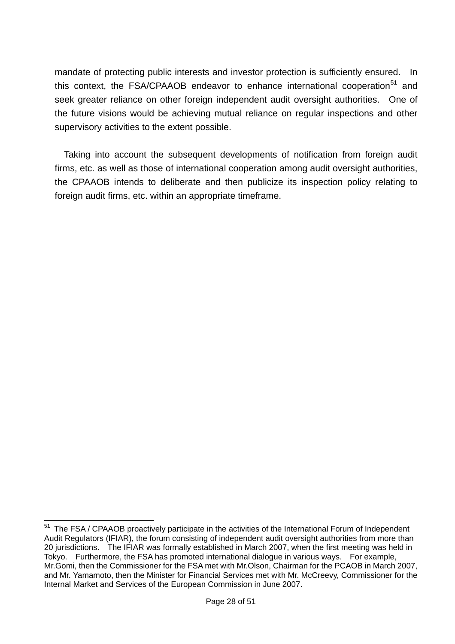mandate of protecting public interests and investor protection is sufficiently ensured. In this context, the FSA/CPAAOB endeavor to enhance international cooperation<sup>51</sup> and seek greater reliance on other foreign independent audit oversight authorities. One of the future visions would be achieving mutual reliance on regular inspections and other supervisory activities to the extent possible.

Taking into account the subsequent developments of notification from foreign audit firms, etc. as well as those of international cooperation among audit oversight authorities, the CPAAOB intends to deliberate and then publicize its inspection policy relating to foreign audit firms, etc. within an appropriate timeframe.

 $\overline{a}$ 

<sup>&</sup>lt;sup>51</sup> The FSA / CPAAOB proactively participate in the activities of the International Forum of Independent Audit Regulators (IFIAR), the forum consisting of independent audit oversight authorities from more than 20 jurisdictions. The IFIAR was formally established in March 2007, when the first meeting was held in Tokyo. Furthermore, the FSA has promoted international dialogue in various ways. For example, Mr.Gomi, then the Commissioner for the FSA met with Mr.Olson, Chairman for the PCAOB in March 2007, and Mr. Yamamoto, then the Minister for Financial Services met with Mr. McCreevy, Commissioner for the Internal Market and Services of the European Commission in June 2007.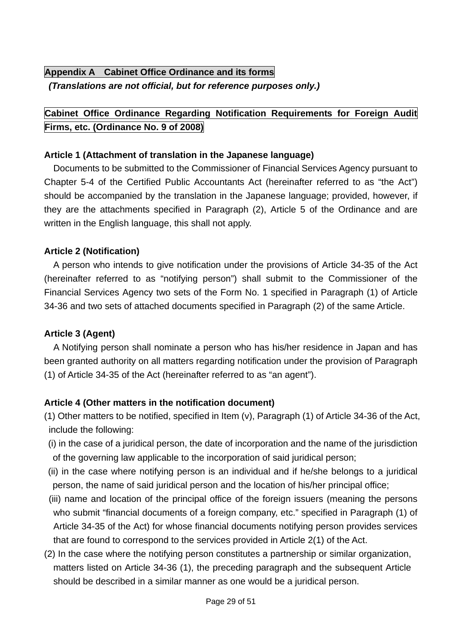# **Appendix A Cabinet Office Ordinance and its forms**  *(Translations are not official, but for reference purposes only.)*

# **Cabinet Office Ordinance Regarding Notification Requirements for Foreign Audit Firms, etc. (Ordinance No. 9 of 2008)**

#### **Article 1 (Attachment of translation in the Japanese language)**

 Documents to be submitted to the Commissioner of Financial Services Agency pursuant to Chapter 5-4 of the Certified Public Accountants Act (hereinafter referred to as "the Act") should be accompanied by the translation in the Japanese language; provided, however, if they are the attachments specified in Paragraph (2), Article 5 of the Ordinance and are written in the English language, this shall not apply.

## **Article 2 (Notification)**

A person who intends to give notification under the provisions of Article 34-35 of the Act (hereinafter referred to as "notifying person") shall submit to the Commissioner of the Financial Services Agency two sets of the Form No. 1 specified in Paragraph (1) of Article 34-36 and two sets of attached documents specified in Paragraph (2) of the same Article.

#### **Article 3 (Agent)**

 A Notifying person shall nominate a person who has his/her residence in Japan and has been granted authority on all matters regarding notification under the provision of Paragraph (1) of Article 34-35 of the Act (hereinafter referred to as "an agent").

## **Article 4 (Other matters in the notification document)**

- (1) Other matters to be notified, specified in Item (v), Paragraph (1) of Article 34-36 of the Act, include the following:
- (i) in the case of a juridical person, the date of incorporation and the name of the jurisdiction of the governing law applicable to the incorporation of said juridical person;
- (ii) in the case where notifying person is an individual and if he/she belongs to a juridical person, the name of said juridical person and the location of his/her principal office;
- (iii) name and location of the principal office of the foreign issuers (meaning the persons who submit "financial documents of a foreign company, etc." specified in Paragraph (1) of Article 34-35 of the Act) for whose financial documents notifying person provides services that are found to correspond to the services provided in Article 2(1) of the Act.
- (2) In the case where the notifying person constitutes a partnership or similar organization, matters listed on Article 34-36 (1), the preceding paragraph and the subsequent Article should be described in a similar manner as one would be a juridical person.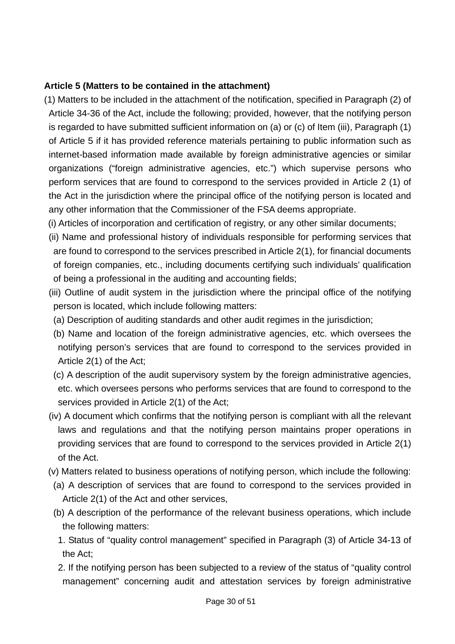#### **Article 5 (Matters to be contained in the attachment)**

- (1) Matters to be included in the attachment of the notification, specified in Paragraph (2) of Article 34-36 of the Act, include the following; provided, however, that the notifying person is regarded to have submitted sufficient information on (a) or (c) of Item (iii), Paragraph (1) of Article 5 if it has provided reference materials pertaining to public information such as internet-based information made available by foreign administrative agencies or similar organizations ("foreign administrative agencies, etc.") which supervise persons who perform services that are found to correspond to the services provided in Article 2 (1) of the Act in the jurisdiction where the principal office of the notifying person is located and any other information that the Commissioner of the FSA deems appropriate.
	- (i) Articles of incorporation and certification of registry, or any other similar documents;
	- (ii) Name and professional history of individuals responsible for performing services that are found to correspond to the services prescribed in Article 2(1), for financial documents of foreign companies, etc., including documents certifying such individuals' qualification of being a professional in the auditing and accounting fields;
	- (iii) Outline of audit system in the jurisdiction where the principal office of the notifying person is located, which include following matters:
	- (a) Description of auditing standards and other audit regimes in the jurisdiction;
	- (b) Name and location of the foreign administrative agencies, etc. which oversees the notifying person's services that are found to correspond to the services provided in Article 2(1) of the Act;
	- (c) A description of the audit supervisory system by the foreign administrative agencies, etc. which oversees persons who performs services that are found to correspond to the services provided in Article 2(1) of the Act;
	- (iv) A document which confirms that the notifying person is compliant with all the relevant laws and regulations and that the notifying person maintains proper operations in providing services that are found to correspond to the services provided in Article 2(1) of the Act.
	- (v) Matters related to business operations of notifying person, which include the following:
	- (a) A description of services that are found to correspond to the services provided in Article 2(1) of the Act and other services,
	- (b) A description of the performance of the relevant business operations, which include the following matters:
	- 1. Status of "quality control management" specified in Paragraph (3) of Article 34-13 of the Act;
	- 2. If the notifying person has been subjected to a review of the status of "quality control management" concerning audit and attestation services by foreign administrative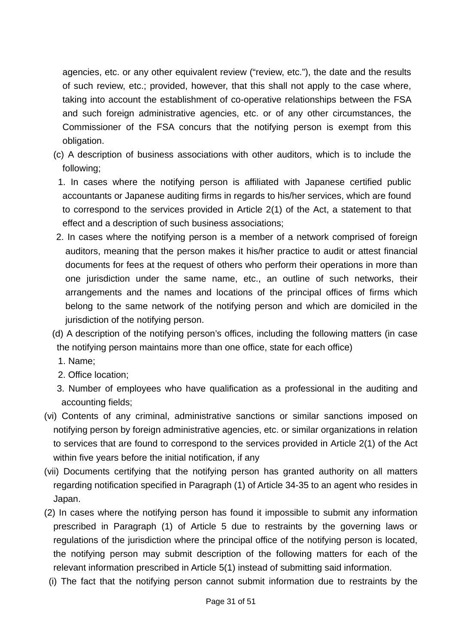agencies, etc. or any other equivalent review ("review, etc."), the date and the results of such review, etc.; provided, however, that this shall not apply to the case where, taking into account the establishment of co-operative relationships between the FSA and such foreign administrative agencies, etc. or of any other circumstances, the Commissioner of the FSA concurs that the notifying person is exempt from this obligation.

- (c) A description of business associations with other auditors, which is to include the following;
	- 1. In cases where the notifying person is affiliated with Japanese certified public accountants or Japanese auditing firms in regards to his/her services, which are found to correspond to the services provided in Article 2(1) of the Act, a statement to that effect and a description of such business associations;
- 2. In cases where the notifying person is a member of a network comprised of foreign auditors, meaning that the person makes it his/her practice to audit or attest financial documents for fees at the request of others who perform their operations in more than one jurisdiction under the same name, etc., an outline of such networks, their arrangements and the names and locations of the principal offices of firms which belong to the same network of the notifying person and which are domiciled in the jurisdiction of the notifying person.
- (d) A description of the notifying person's offices, including the following matters (in case the notifying person maintains more than one office, state for each office)
	- 1. Name;
	- 2. Office location;
- 3. Number of employees who have qualification as a professional in the auditing and accounting fields;
- (vi) Contents of any criminal, administrative sanctions or similar sanctions imposed on notifying person by foreign administrative agencies, etc. or similar organizations in relation to services that are found to correspond to the services provided in Article 2(1) of the Act within five years before the initial notification, if any
- (vii) Documents certifying that the notifying person has granted authority on all matters regarding notification specified in Paragraph (1) of Article 34-35 to an agent who resides in Japan.
- (2) In cases where the notifying person has found it impossible to submit any information prescribed in Paragraph (1) of Article 5 due to restraints by the governing laws or regulations of the jurisdiction where the principal office of the notifying person is located, the notifying person may submit description of the following matters for each of the relevant information prescribed in Article 5(1) instead of submitting said information.
- (i) The fact that the notifying person cannot submit information due to restraints by the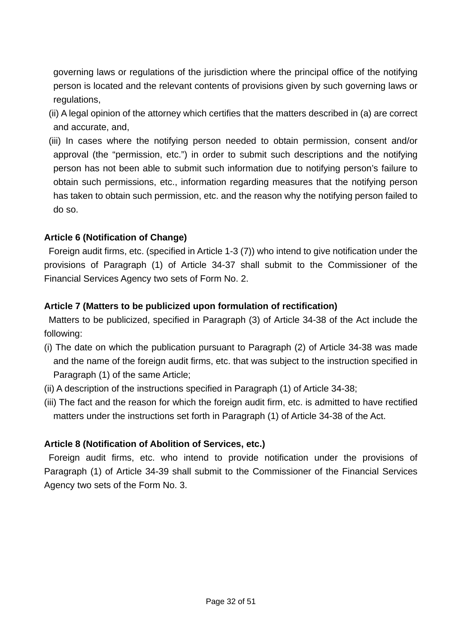governing laws or regulations of the jurisdiction where the principal office of the notifying person is located and the relevant contents of provisions given by such governing laws or regulations,

- (ii) A legal opinion of the attorney which certifies that the matters described in (a) are correct and accurate, and,
- (iii) In cases where the notifying person needed to obtain permission, consent and/or approval (the "permission, etc.") in order to submit such descriptions and the notifying person has not been able to submit such information due to notifying person's failure to obtain such permissions, etc., information regarding measures that the notifying person has taken to obtain such permission, etc. and the reason why the notifying person failed to do so.

## **Article 6 (Notification of Change)**

Foreign audit firms, etc. (specified in Article 1-3 (7)) who intend to give notification under the provisions of Paragraph (1) of Article 34-37 shall submit to the Commissioner of the Financial Services Agency two sets of Form No. 2.

## **Article 7 (Matters to be publicized upon formulation of rectification)**

Matters to be publicized, specified in Paragraph (3) of Article 34-38 of the Act include the following:

- (i) The date on which the publication pursuant to Paragraph (2) of Article 34-38 was made and the name of the foreign audit firms, etc. that was subject to the instruction specified in Paragraph (1) of the same Article;
- (ii) A description of the instructions specified in Paragraph (1) of Article 34-38;
- (iii) The fact and the reason for which the foreign audit firm, etc. is admitted to have rectified matters under the instructions set forth in Paragraph (1) of Article 34-38 of the Act.

#### **Article 8 (Notification of Abolition of Services, etc.)**

Foreign audit firms, etc. who intend to provide notification under the provisions of Paragraph (1) of Article 34-39 shall submit to the Commissioner of the Financial Services Agency two sets of the Form No. 3.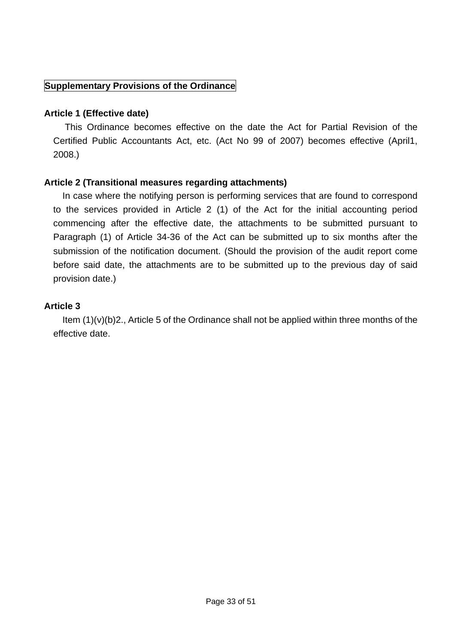#### **Supplementary Provisions of the Ordinance**

#### **Article 1 (Effective date)**

 This Ordinance becomes effective on the date the Act for Partial Revision of the Certified Public Accountants Act, etc. (Act No 99 of 2007) becomes effective (April1, 2008.)

## **Article 2 (Transitional measures regarding attachments)**

In case where the notifying person is performing services that are found to correspond to the services provided in Article 2 (1) of the Act for the initial accounting period commencing after the effective date, the attachments to be submitted pursuant to Paragraph (1) of Article 34-36 of the Act can be submitted up to six months after the submission of the notification document. (Should the provision of the audit report come before said date, the attachments are to be submitted up to the previous day of said provision date.)

## **Article 3**

 Item (1)(v)(b)2., Article 5 of the Ordinance shall not be applied within three months of the effective date.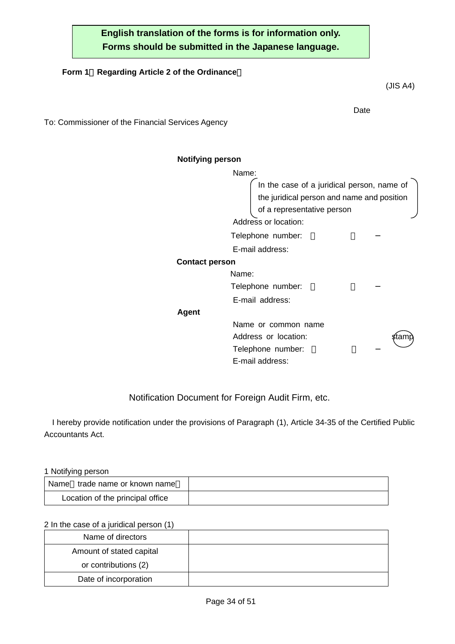## **English translation of the forms is for information only. Forms should be submitted in the Japanese language.**

#### **Form 1**(**Regarding Article 2 of the Ordinance**)

**Date Date Date Date** To: Commissioner of the Financial Services Agency

**Notifying person**

Name: In the case of a juridical person, name of the juridical person and name and position of a representative person Address or location:

Telephone number:

E-mail address:

#### **Contact person**

Name: Telephone number: E-mail address:

#### **Agent**

Name or common name Address or location: status and stamps of states and stamps of states and stamps of states and stamps of states of states and states are stated as a state of states and states are stated as  $\sim$  states and states are state Telephone number: E-mail address:

#### Notification Document for Foreign Audit Firm, etc.

I hereby provide notification under the provisions of Paragraph (1), Article 34-35 of the Certified Public Accountants Act.

#### 1 Notifying person

| trade name or known name<br>Name |  |
|----------------------------------|--|
| Location of the principal office |  |

#### 2 In the case of a juridical person (1)

| Name of directors        |  |
|--------------------------|--|
| Amount of stated capital |  |
| or contributions (2)     |  |
| Date of incorporation    |  |

(JIS A4)

| Ŧ,<br>am |  |
|----------|--|
|          |  |
|          |  |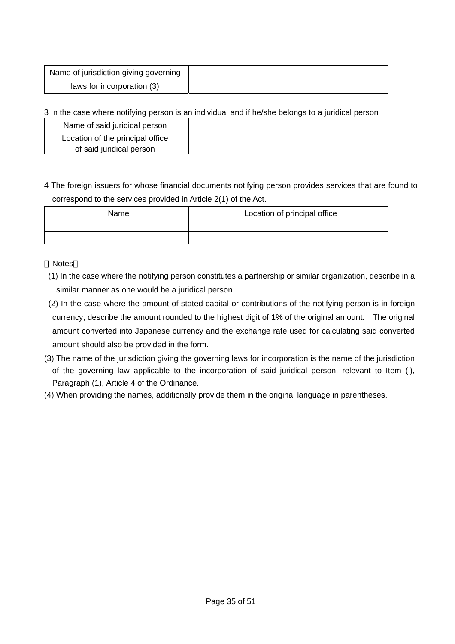| Name of jurisdiction giving governing |
|---------------------------------------|
| laws for incorporation (3)            |

3 In the case where notifying person is an individual and if he/she belongs to a juridical person

| Name of said juridical person                                |  |
|--------------------------------------------------------------|--|
| Location of the principal office<br>of said juridical person |  |
|                                                              |  |

4 The foreign issuers for whose financial documents notifying person provides services that are found to correspond to the services provided in Article 2(1) of the Act.

| Name | Location of principal office |
|------|------------------------------|
|      |                              |
|      |                              |

#### Notes

(1) In the case where the notifying person constitutes a partnership or similar organization, describe in a similar manner as one would be a juridical person.

- (2) In the case where the amount of stated capital or contributions of the notifying person is in foreign currency, describe the amount rounded to the highest digit of 1% of the original amount. The original amount converted into Japanese currency and the exchange rate used for calculating said converted amount should also be provided in the form.
- (3) The name of the jurisdiction giving the governing laws for incorporation is the name of the jurisdiction of the governing law applicable to the incorporation of said juridical person, relevant to Item (i), Paragraph (1), Article 4 of the Ordinance.
- (4) When providing the names, additionally provide them in the original language in parentheses.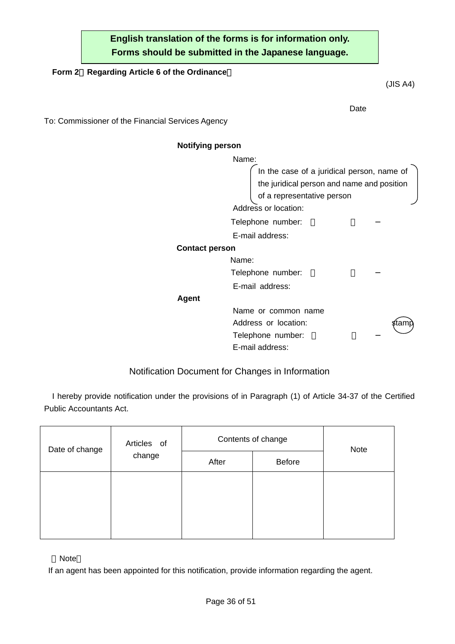## **English translation of the forms is for information only. Forms should be submitted in the Japanese language.**

**Date Date Date Date** 

#### **Form 2**(**Regarding Article 6 of the Ordinance**)

To: Commissioner of the Financial Services Agency

#### **Notifying person**

Name: In the case of a juridical person, name of the juridical person and name and position of a representative person Address or location: Telephone number: E-mail address: **Contact person**  Name: Telephone number: E-mail address: **Agent** Name or common name Address or location: stam Telephone number: E-mail address:

#### Notification Document for Changes in Information

I hereby provide notification under the provisions of in Paragraph (1) of Article 34-37 of the Certified Public Accountants Act.

| Date of change<br>change | Articles of | Contents of change |               | <b>Note</b> |
|--------------------------|-------------|--------------------|---------------|-------------|
|                          |             | After              | <b>Before</b> |             |
|                          |             |                    |               |             |
|                          |             |                    |               |             |
|                          |             |                    |               |             |
|                          |             |                    |               |             |

Note

If an agent has been appointed for this notification, provide information regarding the agent.

(JIS A4)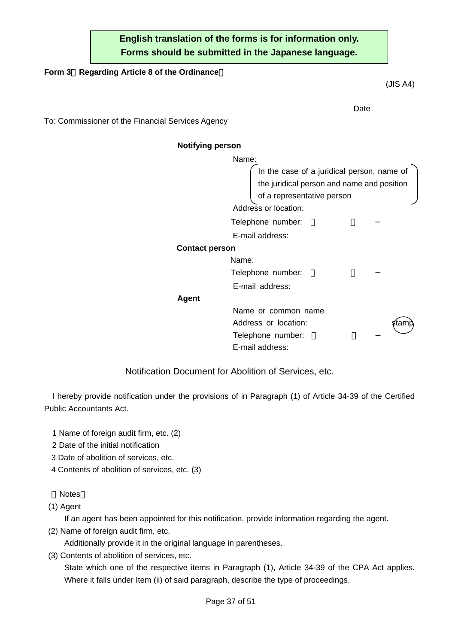## **English translation of the forms is for information only. Forms should be submitted in the Japanese language.**

**Date Date Date Date** 

#### **Form 3**(**Regarding Article 8 of the Ordinance**)

(JIS A4)

To: Commissioner of the Financial Services Agency

**Notifying person**

Name: In the case of a juridical person, name of the juridical person and name and position of a representative person Address or location:

Telephone number:

E-mail address:

#### **Contact person**

Name: Telephone number:

E-mail address:

#### **Agent**

Name or common name Address or location: Telephone number: E-mail address:

| œ<br>lami<br>э |  |
|----------------|--|
|                |  |
|                |  |

Notification Document for Abolition of Services, etc.

I hereby provide notification under the provisions of in Paragraph (1) of Article 34-39 of the Certified Public Accountants Act.

- 1 Name of foreign audit firm, etc. (2)
- 2 Date of the initial notification
- 3 Date of abolition of services, etc.
- 4 Contents of abolition of services, etc. (3)

Notes

(1) Agent

If an agent has been appointed for this notification, provide information regarding the agent.

(2) Name of foreign audit firm, etc.

Additionally provide it in the original language in parentheses.

(3) Contents of abolition of services, etc.

 State which one of the respective items in Paragraph (1), Article 34-39 of the CPA Act applies. Where it falls under Item (ii) of said paragraph, describe the type of proceedings.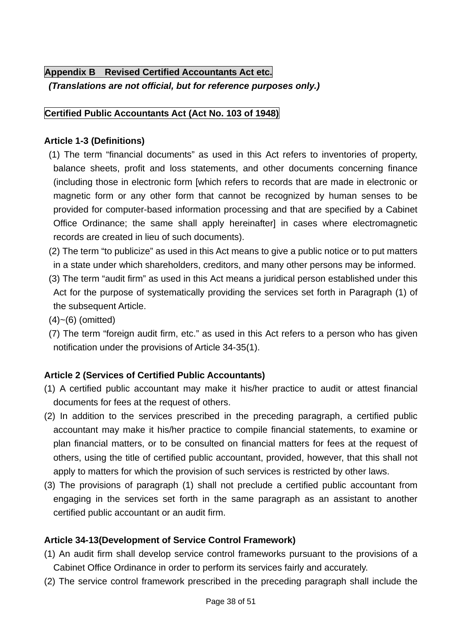# **Appendix B Revised Certified Accountants Act etc.**

*(Translations are not official, but for reference purposes only.)* 

## **Certified Public Accountants Act (Act No. 103 of 1948)**

## **Article 1-3 (Definitions)**

- (1) The term "financial documents" as used in this Act refers to inventories of property, balance sheets, profit and loss statements, and other documents concerning finance (including those in electronic form [which refers to records that are made in electronic or magnetic form or any other form that cannot be recognized by human senses to be provided for computer-based information processing and that are specified by a Cabinet Office Ordinance; the same shall apply hereinafter] in cases where electromagnetic records are created in lieu of such documents).
- (2) The term "to publicize" as used in this Act means to give a public notice or to put matters in a state under which shareholders, creditors, and many other persons may be informed.
- (3) The term "audit firm" as used in this Act means a juridical person established under this Act for the purpose of systematically providing the services set forth in Paragraph (1) of the subsequent Article.
- $(4)~(6)$  (omitted)
- (7) The term "foreign audit firm, etc." as used in this Act refers to a person who has given notification under the provisions of Article 34-35(1).

## **Article 2 (Services of Certified Public Accountants)**

- (1) A certified public accountant may make it his/her practice to audit or attest financial documents for fees at the request of others.
- (2) In addition to the services prescribed in the preceding paragraph, a certified public accountant may make it his/her practice to compile financial statements, to examine or plan financial matters, or to be consulted on financial matters for fees at the request of others, using the title of certified public accountant, provided, however, that this shall not apply to matters for which the provision of such services is restricted by other laws.
- (3) The provisions of paragraph (1) shall not preclude a certified public accountant from engaging in the services set forth in the same paragraph as an assistant to another certified public accountant or an audit firm.

# **Article 34-13(Development of Service Control Framework)**

- (1) An audit firm shall develop service control frameworks pursuant to the provisions of a Cabinet Office Ordinance in order to perform its services fairly and accurately.
- (2) The service control framework prescribed in the preceding paragraph shall include the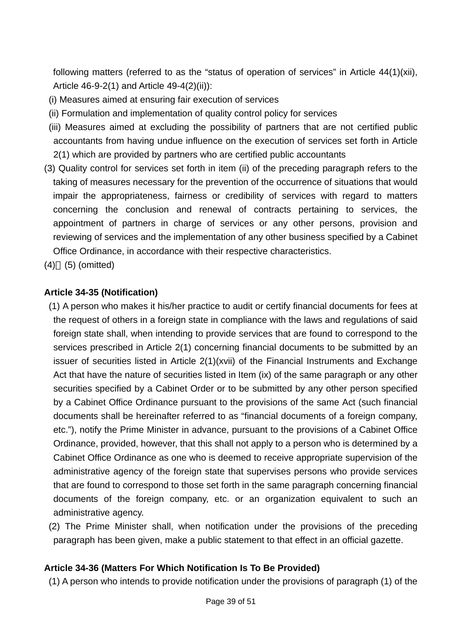following matters (referred to as the "status of operation of services" in Article 44(1)(xii), Article 46-9-2(1) and Article 49-4(2)(ii)):

- (i) Measures aimed at ensuring fair execution of services
- (ii) Formulation and implementation of quality control policy for services
- (iii) Measures aimed at excluding the possibility of partners that are not certified public accountants from having undue influence on the execution of services set forth in Article 2(1) which are provided by partners who are certified public accountants
- (3) Quality control for services set forth in item (ii) of the preceding paragraph refers to the taking of measures necessary for the prevention of the occurrence of situations that would impair the appropriateness, fairness or credibility of services with regard to matters concerning the conclusion and renewal of contracts pertaining to services, the appointment of partners in charge of services or any other persons, provision and reviewing of services and the implementation of any other business specified by a Cabinet Office Ordinance, in accordance with their respective characteristics.
- (4) (5) (omitted)

## **Article 34-35 (Notification)**

 (1) A person who makes it his/her practice to audit or certify financial documents for fees at the request of others in a foreign state in compliance with the laws and regulations of said foreign state shall, when intending to provide services that are found to correspond to the services prescribed in Article 2(1) concerning financial documents to be submitted by an issuer of securities listed in Article 2(1)(xvii) of the Financial Instruments and Exchange Act that have the nature of securities listed in Item (ix) of the same paragraph or any other securities specified by a Cabinet Order or to be submitted by any other person specified by a Cabinet Office Ordinance pursuant to the provisions of the same Act (such financial documents shall be hereinafter referred to as "financial documents of a foreign company, etc."), notify the Prime Minister in advance, pursuant to the provisions of a Cabinet Office Ordinance, provided, however, that this shall not apply to a person who is determined by a Cabinet Office Ordinance as one who is deemed to receive appropriate supervision of the administrative agency of the foreign state that supervises persons who provide services that are found to correspond to those set forth in the same paragraph concerning financial documents of the foreign company, etc. or an organization equivalent to such an administrative agency.

 (2) The Prime Minister shall, when notification under the provisions of the preceding paragraph has been given, make a public statement to that effect in an official gazette.

#### **Article 34-36 (Matters For Which Notification Is To Be Provided)**

(1) A person who intends to provide notification under the provisions of paragraph (1) of the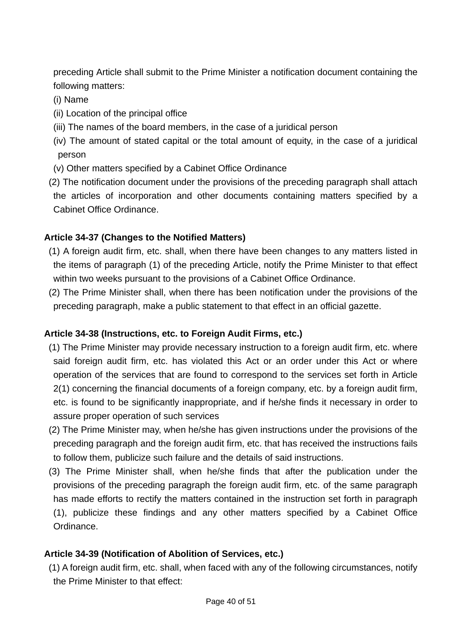preceding Article shall submit to the Prime Minister a notification document containing the following matters:

- (i) Name
- (ii) Location of the principal office
- (iii) The names of the board members, in the case of a juridical person
- (iv) The amount of stated capital or the total amount of equity, in the case of a juridical person
- (v) Other matters specified by a Cabinet Office Ordinance
- (2) The notification document under the provisions of the preceding paragraph shall attach the articles of incorporation and other documents containing matters specified by a Cabinet Office Ordinance.

#### **Article 34-37 (Changes to the Notified Matters)**

- (1) A foreign audit firm, etc. shall, when there have been changes to any matters listed in the items of paragraph (1) of the preceding Article, notify the Prime Minister to that effect within two weeks pursuant to the provisions of a Cabinet Office Ordinance.
- (2) The Prime Minister shall, when there has been notification under the provisions of the preceding paragraph, make a public statement to that effect in an official gazette.

#### **Article 34-38 (Instructions, etc. to Foreign Audit Firms, etc.)**

- (1) The Prime Minister may provide necessary instruction to a foreign audit firm, etc. where said foreign audit firm, etc. has violated this Act or an order under this Act or where operation of the services that are found to correspond to the services set forth in Article 2(1) concerning the financial documents of a foreign company, etc. by a foreign audit firm, etc. is found to be significantly inappropriate, and if he/she finds it necessary in order to assure proper operation of such services
- (2) The Prime Minister may, when he/she has given instructions under the provisions of the preceding paragraph and the foreign audit firm, etc. that has received the instructions fails to follow them, publicize such failure and the details of said instructions.
- (3) The Prime Minister shall, when he/she finds that after the publication under the provisions of the preceding paragraph the foreign audit firm, etc. of the same paragraph has made efforts to rectify the matters contained in the instruction set forth in paragraph (1), publicize these findings and any other matters specified by a Cabinet Office Ordinance.

## **Article 34-39 (Notification of Abolition of Services, etc.)**

 (1) A foreign audit firm, etc. shall, when faced with any of the following circumstances, notify the Prime Minister to that effect: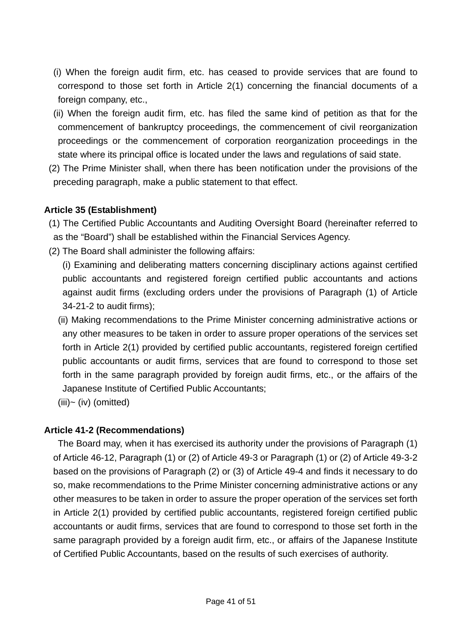- (i) When the foreign audit firm, etc. has ceased to provide services that are found to correspond to those set forth in Article 2(1) concerning the financial documents of a foreign company, etc.,
- (ii) When the foreign audit firm, etc. has filed the same kind of petition as that for the commencement of bankruptcy proceedings, the commencement of civil reorganization proceedings or the commencement of corporation reorganization proceedings in the state where its principal office is located under the laws and regulations of said state.
- (2) The Prime Minister shall, when there has been notification under the provisions of the preceding paragraph, make a public statement to that effect.

## **Article 35 (Establishment)**

- (1) The Certified Public Accountants and Auditing Oversight Board (hereinafter referred to as the "Board") shall be established within the Financial Services Agency.
- (2) The Board shall administer the following affairs:
	- (i) Examining and deliberating matters concerning disciplinary actions against certified public accountants and registered foreign certified public accountants and actions against audit firms (excluding orders under the provisions of Paragraph (1) of Article 34-21-2 to audit firms);
	- (ii) Making recommendations to the Prime Minister concerning administrative actions or any other measures to be taken in order to assure proper operations of the services set forth in Article 2(1) provided by certified public accountants, registered foreign certified public accountants or audit firms, services that are found to correspond to those set forth in the same paragraph provided by foreign audit firms, etc., or the affairs of the Japanese Institute of Certified Public Accountants;
	- $(iii)$   $\sim$   $(iv)$  (omitted)

#### **Article 41-2 (Recommendations)**

The Board may, when it has exercised its authority under the provisions of Paragraph (1) of Article 46-12, Paragraph (1) or (2) of Article 49-3 or Paragraph (1) or (2) of Article 49-3-2 based on the provisions of Paragraph (2) or (3) of Article 49-4 and finds it necessary to do so, make recommendations to the Prime Minister concerning administrative actions or any other measures to be taken in order to assure the proper operation of the services set forth in Article 2(1) provided by certified public accountants, registered foreign certified public accountants or audit firms, services that are found to correspond to those set forth in the same paragraph provided by a foreign audit firm, etc., or affairs of the Japanese Institute of Certified Public Accountants, based on the results of such exercises of authority.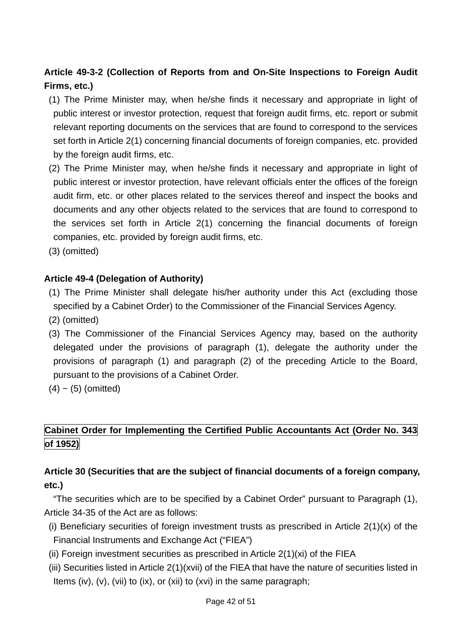# **Article 49-3-2 (Collection of Reports from and On-Site Inspections to Foreign Audit Firms, etc.)**

- (1) The Prime Minister may, when he/she finds it necessary and appropriate in light of public interest or investor protection, request that foreign audit firms, etc. report or submit relevant reporting documents on the services that are found to correspond to the services set forth in Article 2(1) concerning financial documents of foreign companies, etc. provided by the foreign audit firms, etc.
- (2) The Prime Minister may, when he/she finds it necessary and appropriate in light of public interest or investor protection, have relevant officials enter the offices of the foreign audit firm, etc. or other places related to the services thereof and inspect the books and documents and any other objects related to the services that are found to correspond to the services set forth in Article 2(1) concerning the financial documents of foreign companies, etc. provided by foreign audit firms, etc.
- (3) (omitted)

## **Article 49-4 (Delegation of Authority)**

- (1) The Prime Minister shall delegate his/her authority under this Act (excluding those specified by a Cabinet Order) to the Commissioner of the Financial Services Agency.
- (2) (omitted)
- (3) The Commissioner of the Financial Services Agency may, based on the authority delegated under the provisions of paragraph (1), delegate the authority under the provisions of paragraph (1) and paragraph (2) of the preceding Article to the Board, pursuant to the provisions of a Cabinet Order.
- $(4)$  ~  $(5)$  (omitted)

## **Cabinet Order for Implementing the Certified Public Accountants Act (Order No. 343 of 1952)**

## **Article 30 (Securities that are the subject of financial documents of a foreign company, etc.)**

"The securities which are to be specified by a Cabinet Order" pursuant to Paragraph (1), Article 34-35 of the Act are as follows:

- (i) Beneficiary securities of foreign investment trusts as prescribed in Article  $2(1)(x)$  of the Financial Instruments and Exchange Act ("FIEA")
- (ii) Foreign investment securities as prescribed in Article 2(1)(xi) of the FIEA
- (iii) Securities listed in Article 2(1)(xvii) of the FIEA that have the nature of securities listed in Items (iv), (v), (vii) to (ix), or (xii) to (xvi) in the same paragraph;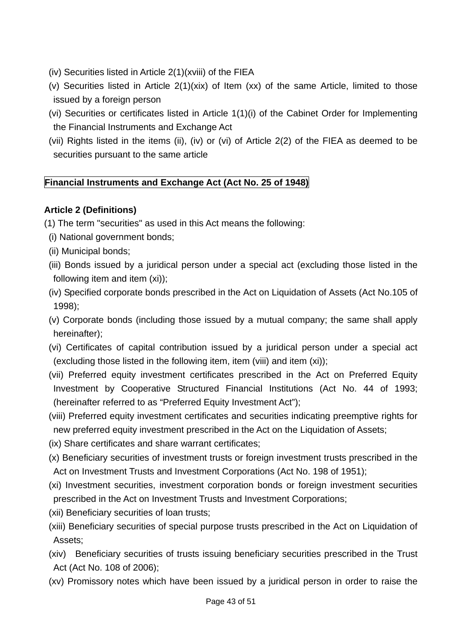- (iv) Securities listed in Article 2(1)(xviii) of the FIEA
- (v) Securities listed in Article 2(1)(xix) of Item (xx) of the same Article, limited to those issued by a foreign person
- (vi) Securities or certificates listed in Article 1(1)(i) of the Cabinet Order for Implementing the Financial Instruments and Exchange Act
- (vii) Rights listed in the items (ii), (iv) or (vi) of Article 2(2) of the FIEA as deemed to be securities pursuant to the same article

# **Financial Instruments and Exchange Act (Act No. 25 of 1948)**

## **Article 2 (Definitions)**

- (1) The term "securities" as used in this Act means the following:
- (i) National government bonds;
- (ii) Municipal bonds;
- (iii) Bonds issued by a juridical person under a special act (excluding those listed in the following item and item (xi));
- (iv) Specified corporate bonds prescribed in the Act on Liquidation of Assets (Act No.105 of 1998);
- (v) Corporate bonds (including those issued by a mutual company; the same shall apply hereinafter);
- (vi) Certificates of capital contribution issued by a juridical person under a special act (excluding those listed in the following item, item (viii) and item (xi));
- (vii) Preferred equity investment certificates prescribed in the Act on Preferred Equity Investment by Cooperative Structured Financial Institutions (Act No. 44 of 1993; (hereinafter referred to as "Preferred Equity Investment Act");
- (viii) Preferred equity investment certificates and securities indicating preemptive rights for new preferred equity investment prescribed in the Act on the Liquidation of Assets;
- (ix) Share certificates and share warrant certificates;
- (x) Beneficiary securities of investment trusts or foreign investment trusts prescribed in the Act on Investment Trusts and Investment Corporations (Act No. 198 of 1951);
- (xi) Investment securities, investment corporation bonds or foreign investment securities prescribed in the Act on Investment Trusts and Investment Corporations;
- (xii) Beneficiary securities of loan trusts;
- (xiii) Beneficiary securities of special purpose trusts prescribed in the Act on Liquidation of Assets;
- (xiv) Beneficiary securities of trusts issuing beneficiary securities prescribed in the Trust Act (Act No. 108 of 2006);
- (xv) Promissory notes which have been issued by a juridical person in order to raise the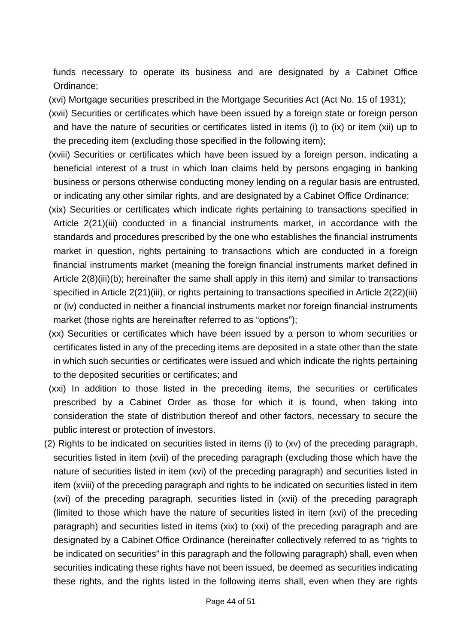funds necessary to operate its business and are designated by a Cabinet Office Ordinance;

- (xvi) Mortgage securities prescribed in the Mortgage Securities Act (Act No. 15 of 1931);
- (xvii) Securities or certificates which have been issued by a foreign state or foreign person and have the nature of securities or certificates listed in items (i) to (ix) or item (xii) up to the preceding item (excluding those specified in the following item);
- (xviii) Securities or certificates which have been issued by a foreign person, indicating a beneficial interest of a trust in which loan claims held by persons engaging in banking business or persons otherwise conducting money lending on a regular basis are entrusted, or indicating any other similar rights, and are designated by a Cabinet Office Ordinance;
- (xix) Securities or certificates which indicate rights pertaining to transactions specified in Article 2(21)(iii) conducted in a financial instruments market, in accordance with the standards and procedures prescribed by the one who establishes the financial instruments market in question, rights pertaining to transactions which are conducted in a foreign financial instruments market (meaning the foreign financial instruments market defined in Article 2(8)(iii)(b); hereinafter the same shall apply in this item) and similar to transactions specified in Article 2(21)(iii), or rights pertaining to transactions specified in Article 2(22)(iii) or (iv) conducted in neither a financial instruments market nor foreign financial instruments market (those rights are hereinafter referred to as "options");
- (xx) Securities or certificates which have been issued by a person to whom securities or certificates listed in any of the preceding items are deposited in a state other than the state in which such securities or certificates were issued and which indicate the rights pertaining to the deposited securities or certificates; and
- (xxi) In addition to those listed in the preceding items, the securities or certificates prescribed by a Cabinet Order as those for which it is found, when taking into consideration the state of distribution thereof and other factors, necessary to secure the public interest or protection of investors.
- (2) Rights to be indicated on securities listed in items (i) to (xv) of the preceding paragraph, securities listed in item (xvii) of the preceding paragraph (excluding those which have the nature of securities listed in item (xvi) of the preceding paragraph) and securities listed in item (xviii) of the preceding paragraph and rights to be indicated on securities listed in item (xvi) of the preceding paragraph, securities listed in (xvii) of the preceding paragraph (limited to those which have the nature of securities listed in item (xvi) of the preceding paragraph) and securities listed in items (xix) to (xxi) of the preceding paragraph and are designated by a Cabinet Office Ordinance (hereinafter collectively referred to as "rights to be indicated on securities" in this paragraph and the following paragraph) shall, even when securities indicating these rights have not been issued, be deemed as securities indicating these rights, and the rights listed in the following items shall, even when they are rights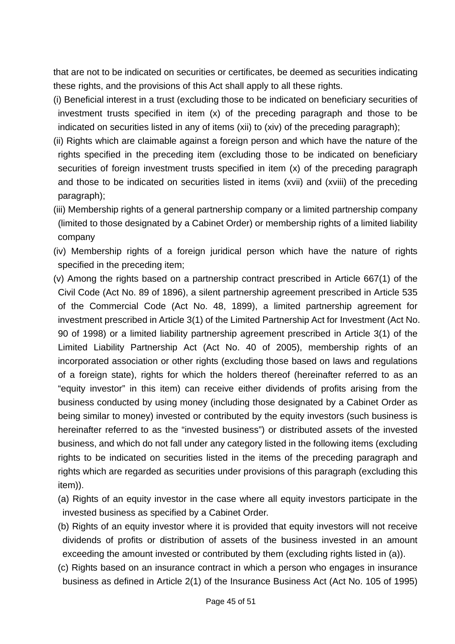that are not to be indicated on securities or certificates, be deemed as securities indicating these rights, and the provisions of this Act shall apply to all these rights.

- (i) Beneficial interest in a trust (excluding those to be indicated on beneficiary securities of investment trusts specified in item (x) of the preceding paragraph and those to be indicated on securities listed in any of items (xii) to (xiv) of the preceding paragraph);
- (ii) Rights which are claimable against a foreign person and which have the nature of the rights specified in the preceding item (excluding those to be indicated on beneficiary securities of foreign investment trusts specified in item (x) of the preceding paragraph and those to be indicated on securities listed in items (xvii) and (xviii) of the preceding paragraph);
- (iii) Membership rights of a general partnership company or a limited partnership company (limited to those designated by a Cabinet Order) or membership rights of a limited liability company
- (iv) Membership rights of a foreign juridical person which have the nature of rights specified in the preceding item;
- (v) Among the rights based on a partnership contract prescribed in Article 667(1) of the Civil Code (Act No. 89 of 1896), a silent partnership agreement prescribed in Article 535 of the Commercial Code (Act No. 48, 1899), a limited partnership agreement for investment prescribed in Article 3(1) of the Limited Partnership Act for Investment (Act No. 90 of 1998) or a limited liability partnership agreement prescribed in Article 3(1) of the Limited Liability Partnership Act (Act No. 40 of 2005), membership rights of an incorporated association or other rights (excluding those based on laws and regulations of a foreign state), rights for which the holders thereof (hereinafter referred to as an "equity investor" in this item) can receive either dividends of profits arising from the business conducted by using money (including those designated by a Cabinet Order as being similar to money) invested or contributed by the equity investors (such business is hereinafter referred to as the "invested business") or distributed assets of the invested business, and which do not fall under any category listed in the following items (excluding rights to be indicated on securities listed in the items of the preceding paragraph and rights which are regarded as securities under provisions of this paragraph (excluding this item)).
	- (a) Rights of an equity investor in the case where all equity investors participate in the invested business as specified by a Cabinet Order.
	- (b) Rights of an equity investor where it is provided that equity investors will not receive dividends of profits or distribution of assets of the business invested in an amount exceeding the amount invested or contributed by them (excluding rights listed in (a)).
	- (c) Rights based on an insurance contract in which a person who engages in insurance business as defined in Article 2(1) of the Insurance Business Act (Act No. 105 of 1995)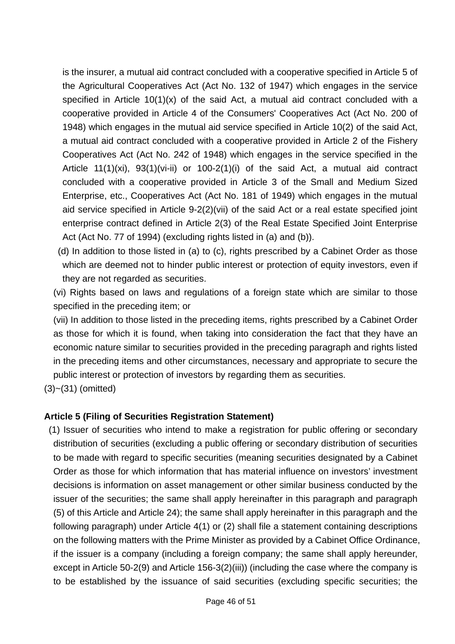is the insurer, a mutual aid contract concluded with a cooperative specified in Article 5 of the Agricultural Cooperatives Act (Act No. 132 of 1947) which engages in the service specified in Article 10(1)(x) of the said Act, a mutual aid contract concluded with a cooperative provided in Article 4 of the Consumers' Cooperatives Act (Act No. 200 of 1948) which engages in the mutual aid service specified in Article 10(2) of the said Act, a mutual aid contract concluded with a cooperative provided in Article 2 of the Fishery Cooperatives Act (Act No. 242 of 1948) which engages in the service specified in the Article 11(1)(xi), 93(1)(vi-ii) or 100-2(1)(i) of the said Act, a mutual aid contract concluded with a cooperative provided in Article 3 of the Small and Medium Sized Enterprise, etc., Cooperatives Act (Act No. 181 of 1949) which engages in the mutual aid service specified in Article 9-2(2)(vii) of the said Act or a real estate specified joint enterprise contract defined in Article 2(3) of the Real Estate Specified Joint Enterprise Act (Act No. 77 of 1994) (excluding rights listed in (a) and (b)).

 (d) In addition to those listed in (a) to (c), rights prescribed by a Cabinet Order as those which are deemed not to hinder public interest or protection of equity investors, even if they are not regarded as securities.

 (vi) Rights based on laws and regulations of a foreign state which are similar to those specified in the preceding item; or

 (vii) In addition to those listed in the preceding items, rights prescribed by a Cabinet Order as those for which it is found, when taking into consideration the fact that they have an economic nature similar to securities provided in the preceding paragraph and rights listed in the preceding items and other circumstances, necessary and appropriate to secure the public interest or protection of investors by regarding them as securities.

(3)~(31) (omitted)

#### **Article 5 (Filing of Securities Registration Statement)**

 (1) Issuer of securities who intend to make a registration for public offering or secondary distribution of securities (excluding a public offering or secondary distribution of securities to be made with regard to specific securities (meaning securities designated by a Cabinet Order as those for which information that has material influence on investors' investment decisions is information on asset management or other similar business conducted by the issuer of the securities; the same shall apply hereinafter in this paragraph and paragraph (5) of this Article and Article 24); the same shall apply hereinafter in this paragraph and the following paragraph) under Article 4(1) or (2) shall file a statement containing descriptions on the following matters with the Prime Minister as provided by a Cabinet Office Ordinance, if the issuer is a company (including a foreign company; the same shall apply hereunder, except in Article 50-2(9) and Article 156-3(2)(iii)) (including the case where the company is to be established by the issuance of said securities (excluding specific securities; the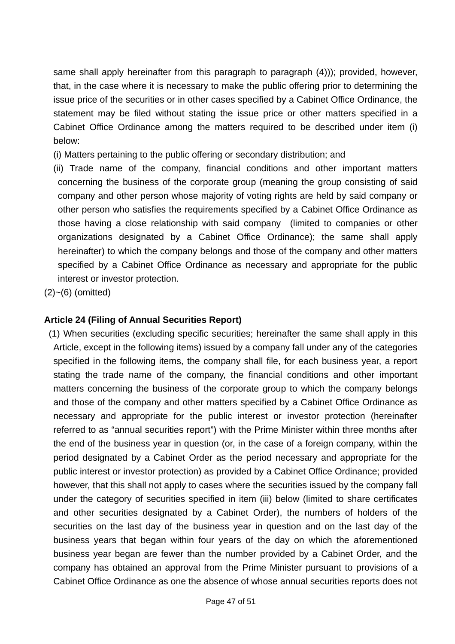same shall apply hereinafter from this paragraph to paragraph (4))); provided, however, that, in the case where it is necessary to make the public offering prior to determining the issue price of the securities or in other cases specified by a Cabinet Office Ordinance, the statement may be filed without stating the issue price or other matters specified in a Cabinet Office Ordinance among the matters required to be described under item (i) below:

- (i) Matters pertaining to the public offering or secondary distribution; and
- (ii) Trade name of the company, financial conditions and other important matters concerning the business of the corporate group (meaning the group consisting of said company and other person whose majority of voting rights are held by said company or other person who satisfies the requirements specified by a Cabinet Office Ordinance as those having a close relationship with said company (limited to companies or other organizations designated by a Cabinet Office Ordinance); the same shall apply hereinafter) to which the company belongs and those of the company and other matters specified by a Cabinet Office Ordinance as necessary and appropriate for the public interest or investor protection.

 $(2)$ ~ $(6)$  (omitted)

#### **Article 24 (Filing of Annual Securities Report)**

 (1) When securities (excluding specific securities; hereinafter the same shall apply in this Article, except in the following items) issued by a company fall under any of the categories specified in the following items, the company shall file, for each business year, a report stating the trade name of the company, the financial conditions and other important matters concerning the business of the corporate group to which the company belongs and those of the company and other matters specified by a Cabinet Office Ordinance as necessary and appropriate for the public interest or investor protection (hereinafter referred to as "annual securities report") with the Prime Minister within three months after the end of the business year in question (or, in the case of a foreign company, within the period designated by a Cabinet Order as the period necessary and appropriate for the public interest or investor protection) as provided by a Cabinet Office Ordinance; provided however, that this shall not apply to cases where the securities issued by the company fall under the category of securities specified in item (iii) below (limited to share certificates and other securities designated by a Cabinet Order), the numbers of holders of the securities on the last day of the business year in question and on the last day of the business years that began within four years of the day on which the aforementioned business year began are fewer than the number provided by a Cabinet Order, and the company has obtained an approval from the Prime Minister pursuant to provisions of a Cabinet Office Ordinance as one the absence of whose annual securities reports does not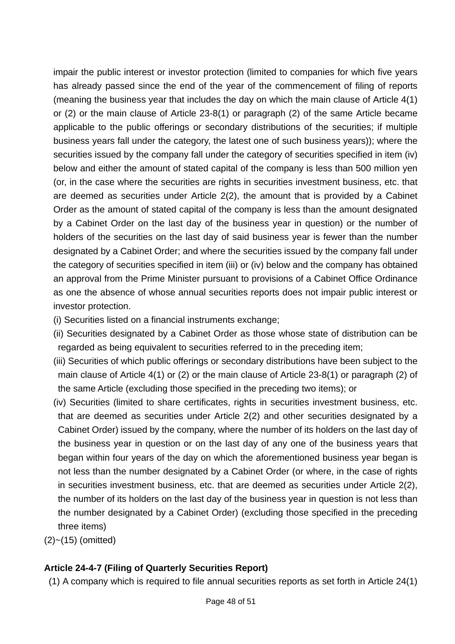impair the public interest or investor protection (limited to companies for which five years has already passed since the end of the year of the commencement of filing of reports (meaning the business year that includes the day on which the main clause of Article 4(1) or (2) or the main clause of Article 23-8(1) or paragraph (2) of the same Article became applicable to the public offerings or secondary distributions of the securities; if multiple business years fall under the category, the latest one of such business years)); where the securities issued by the company fall under the category of securities specified in item (iv) below and either the amount of stated capital of the company is less than 500 million yen (or, in the case where the securities are rights in securities investment business, etc. that are deemed as securities under Article 2(2), the amount that is provided by a Cabinet Order as the amount of stated capital of the company is less than the amount designated by a Cabinet Order on the last day of the business year in question) or the number of holders of the securities on the last day of said business year is fewer than the number designated by a Cabinet Order; and where the securities issued by the company fall under the category of securities specified in item (iii) or (iv) below and the company has obtained an approval from the Prime Minister pursuant to provisions of a Cabinet Office Ordinance as one the absence of whose annual securities reports does not impair public interest or investor protection.

- (i) Securities listed on a financial instruments exchange;
- (ii) Securities designated by a Cabinet Order as those whose state of distribution can be regarded as being equivalent to securities referred to in the preceding item;
- (iii) Securities of which public offerings or secondary distributions have been subject to the main clause of Article 4(1) or (2) or the main clause of Article 23-8(1) or paragraph (2) of the same Article (excluding those specified in the preceding two items); or
- (iv) Securities (limited to share certificates, rights in securities investment business, etc. that are deemed as securities under Article 2(2) and other securities designated by a Cabinet Order) issued by the company, where the number of its holders on the last day of the business year in question or on the last day of any one of the business years that began within four years of the day on which the aforementioned business year began is not less than the number designated by a Cabinet Order (or where, in the case of rights in securities investment business, etc. that are deemed as securities under Article 2(2), the number of its holders on the last day of the business year in question is not less than the number designated by a Cabinet Order) (excluding those specified in the preceding three items)
- (2)~(15) (omitted)

## **Article 24-4-7 (Filing of Quarterly Securities Report)**

(1) A company which is required to file annual securities reports as set forth in Article 24(1)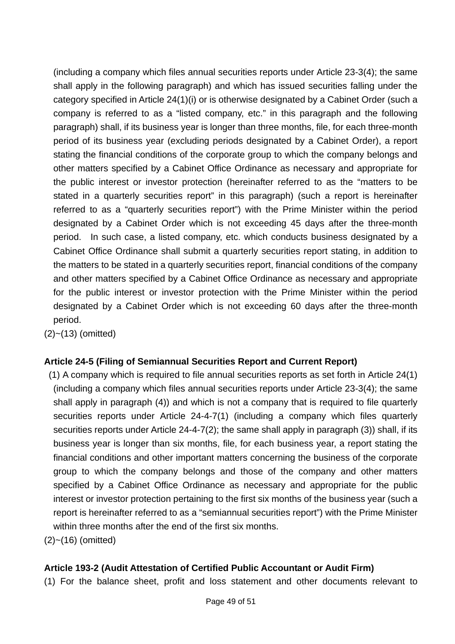(including a company which files annual securities reports under Article 23-3(4); the same shall apply in the following paragraph) and which has issued securities falling under the category specified in Article 24(1)(i) or is otherwise designated by a Cabinet Order (such a company is referred to as a "listed company, etc." in this paragraph and the following paragraph) shall, if its business year is longer than three months, file, for each three-month period of its business year (excluding periods designated by a Cabinet Order), a report stating the financial conditions of the corporate group to which the company belongs and other matters specified by a Cabinet Office Ordinance as necessary and appropriate for the public interest or investor protection (hereinafter referred to as the "matters to be stated in a quarterly securities report" in this paragraph) (such a report is hereinafter referred to as a "quarterly securities report") with the Prime Minister within the period designated by a Cabinet Order which is not exceeding 45 days after the three-month period. In such case, a listed company, etc. which conducts business designated by a Cabinet Office Ordinance shall submit a quarterly securities report stating, in addition to the matters to be stated in a quarterly securities report, financial conditions of the company and other matters specified by a Cabinet Office Ordinance as necessary and appropriate for the public interest or investor protection with the Prime Minister within the period designated by a Cabinet Order which is not exceeding 60 days after the three-month period.

 $(2)$  ~  $(13)$  (omitted)

#### **Article 24-5 (Filing of Semiannual Securities Report and Current Report)**

 (1) A company which is required to file annual securities reports as set forth in Article 24(1) (including a company which files annual securities reports under Article 23-3(4); the same shall apply in paragraph (4)) and which is not a company that is required to file quarterly securities reports under Article 24-4-7(1) (including a company which files quarterly securities reports under Article 24-4-7(2); the same shall apply in paragraph (3)) shall, if its business year is longer than six months, file, for each business year, a report stating the financial conditions and other important matters concerning the business of the corporate group to which the company belongs and those of the company and other matters specified by a Cabinet Office Ordinance as necessary and appropriate for the public interest or investor protection pertaining to the first six months of the business year (such a report is hereinafter referred to as a "semiannual securities report") with the Prime Minister within three months after the end of the first six months.

(2)~(16) (omitted)

#### **Article 193-2 (Audit Attestation of Certified Public Accountant or Audit Firm)**

(1) For the balance sheet, profit and loss statement and other documents relevant to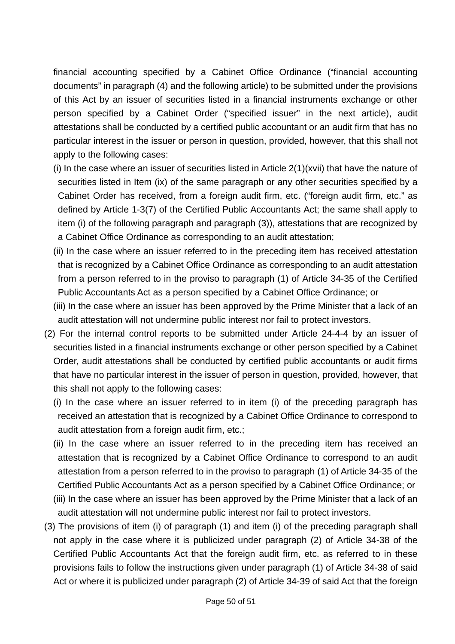financial accounting specified by a Cabinet Office Ordinance ("financial accounting documents" in paragraph (4) and the following article) to be submitted under the provisions of this Act by an issuer of securities listed in a financial instruments exchange or other person specified by a Cabinet Order ("specified issuer" in the next article), audit attestations shall be conducted by a certified public accountant or an audit firm that has no particular interest in the issuer or person in question, provided, however, that this shall not apply to the following cases:

- (i) In the case where an issuer of securities listed in Article 2(1)(xvii) that have the nature of securities listed in Item (ix) of the same paragraph or any other securities specified by a Cabinet Order has received, from a foreign audit firm, etc. ("foreign audit firm, etc." as defined by Article 1-3(7) of the Certified Public Accountants Act; the same shall apply to item (i) of the following paragraph and paragraph (3)), attestations that are recognized by a Cabinet Office Ordinance as corresponding to an audit attestation;
- (ii) In the case where an issuer referred to in the preceding item has received attestation that is recognized by a Cabinet Office Ordinance as corresponding to an audit attestation from a person referred to in the proviso to paragraph (1) of Article 34-35 of the Certified Public Accountants Act as a person specified by a Cabinet Office Ordinance; or
- (iii) In the case where an issuer has been approved by the Prime Minister that a lack of an audit attestation will not undermine public interest nor fail to protect investors.
- (2) For the internal control reports to be submitted under Article 24-4-4 by an issuer of securities listed in a financial instruments exchange or other person specified by a Cabinet Order, audit attestations shall be conducted by certified public accountants or audit firms that have no particular interest in the issuer of person in question, provided, however, that this shall not apply to the following cases:
	- (i) In the case where an issuer referred to in item (i) of the preceding paragraph has received an attestation that is recognized by a Cabinet Office Ordinance to correspond to audit attestation from a foreign audit firm, etc.;
	- (ii) In the case where an issuer referred to in the preceding item has received an attestation that is recognized by a Cabinet Office Ordinance to correspond to an audit attestation from a person referred to in the proviso to paragraph (1) of Article 34-35 of the Certified Public Accountants Act as a person specified by a Cabinet Office Ordinance; or
	- (iii) In the case where an issuer has been approved by the Prime Minister that a lack of an audit attestation will not undermine public interest nor fail to protect investors.
- (3) The provisions of item (i) of paragraph (1) and item (i) of the preceding paragraph shall not apply in the case where it is publicized under paragraph (2) of Article 34-38 of the Certified Public Accountants Act that the foreign audit firm, etc. as referred to in these provisions fails to follow the instructions given under paragraph (1) of Article 34-38 of said Act or where it is publicized under paragraph (2) of Article 34-39 of said Act that the foreign